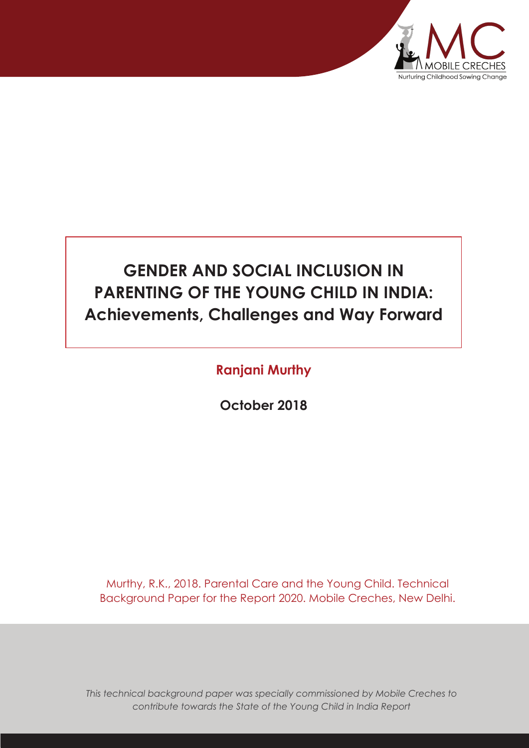

# **GENDER AND SOCIAL INCLUSION IN PARENTING OF THE YOUNG CHILD IN INDIA: Achievements, Challenges and Way Forward**

# **Ranjani Murthy**

**October 2018**

Murthy, R.K., 2018. Parental Care and the Young Child. Technical Background Paper for the Report 2020. Mobile Creches, New Delhi.

*This technical background paper was specially commissioned by Mobile Creches to contribute towards the State of the Young Child in India Report*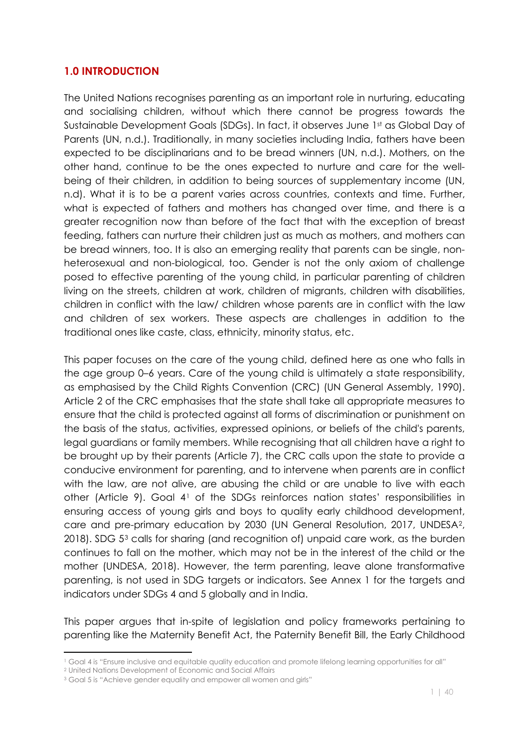# **1.0 INTRODUCTION**

The United Nations recognises parenting as an important role in nurturing, educating and socialising children, without which there cannot be progress towards the Sustainable Development Goals (SDGs). In fact, it observes June 1st as Global Day of Parents (UN, n.d.). Traditionally, in many societies including India, fathers have been expected to be disciplinarians and to be bread winners (UN, n.d.). Mothers, on the other hand, continue to be the ones expected to nurture and care for the wellbeing of their children, in addition to being sources of supplementary income (UN, n.d). What it is to be a parent varies across countries, contexts and time. Further, what is expected of fathers and mothers has changed over time, and there is a greater recognition now than before of the fact that with the exception of breast feeding, fathers can nurture their children just as much as mothers, and mothers can be bread winners, too. It is also an emerging reality that parents can be single, nonheterosexual and non-biological, too. Gender is not the only axiom of challenge posed to effective parenting of the young child, in particular parenting of children living on the streets, children at work, children of migrants, children with disabilities, children in conflict with the law/ children whose parents are in conflict with the law and children of sex workers. These aspects are challenges in addition to the traditional ones like caste, class, ethnicity, minority status, etc.

This paper focuses on the care of the young child, defined here as one who falls in the age group 0–6 years. Care of the young child is ultimately a state responsibility, as emphasised by the Child Rights Convention (CRC) (UN General Assembly, 1990). Article 2 of the CRC emphasises that the state shall take all appropriate measures to ensure that the child is protected against all forms of discrimination or punishment on the basis of the status, activities, expressed opinions, or beliefs of the child's parents, legal guardians or family members. While recognising that all children have a right to be brought up by their parents (Article 7), the CRC calls upon the state to provide a conducive environment for parenting, and to intervene when parents are in conflict with the law, are not alive, are abusing the child or are unable to live with each other (Article 9). Goal 41 of the SDGs reinforces nation states' responsibilities in ensuring access of young girls and boys to quality early childhood development, care and pre-primary education by 2030 (UN General Resolution, 2017, UNDESA2, 2018). SDG 53 calls for sharing (and recognition of) unpaid care work, as the burden continues to fall on the mother, which may not be in the interest of the child or the mother (UNDESA, 2018). However, the term parenting, leave alone transformative parenting, is not used in SDG targets or indicators. See Annex 1 for the targets and indicators under SDGs 4 and 5 globally and in India.

This paper argues that in-spite of legislation and policy frameworks pertaining to parenting like the Maternity Benefit Act, the Paternity Benefit Bill, the Early Childhood

<u>.</u>

<sup>1</sup> Goal 4 is "Ensure inclusive and equitable quality education and promote lifelong learning opportunities for all"

<sup>2</sup> United Nations Development of Economic and Social Affairs

<sup>&</sup>lt;sup>3</sup> Goal 5 is "Achieve gender equality and empower all women and girls"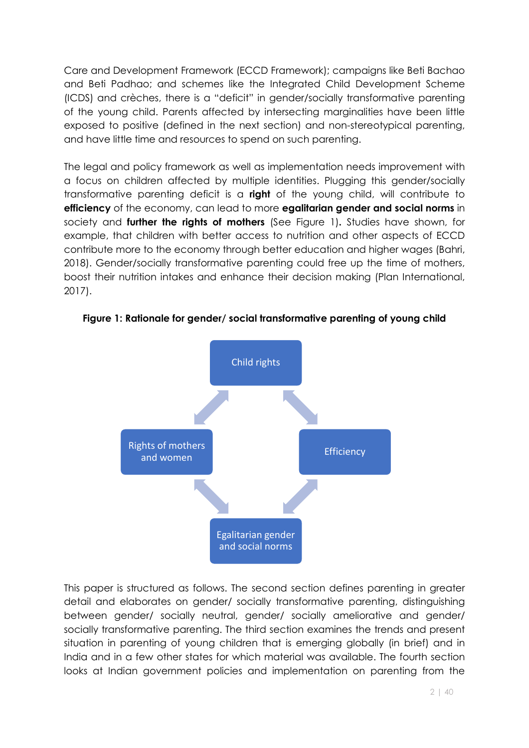Care and Development Framework (ECCD Framework); campaigns like Beti Bachao and Beti Padhao; and schemes like the Integrated Child Development Scheme (ICDS) and crèches, there is a "deficit" in gender/socially transformative parenting of the young child. Parents affected by intersecting marginalities have been little exposed to positive (defined in the next section) and non-stereotypical parenting, and have little time and resources to spend on such parenting.

The legal and policy framework as well as implementation needs improvement with a focus on children affected by multiple identities. Plugging this gender/socially transformative parenting deficit is a **right** of the young child, will contribute to **efficiency** of the economy, can lead to more **egalitarian gender and social norms** in society and **further the rights of mothers** (See Figure 1)**.** Studies have shown, for example, that children with better access to nutrition and other aspects of ECCD contribute more to the economy through better education and higher wages (Bahri, 2018). Gender/socially transformative parenting could free up the time of mothers, boost their nutrition intakes and enhance their decision making (Plan International, 2017).



**Figure 1: Rationale for gender/ social transformative parenting of young child**

This paper is structured as follows. The second section defines parenting in greater detail and elaborates on gender/ socially transformative parenting, distinguishing between gender/ socially neutral, gender/ socially ameliorative and gender/ socially transformative parenting. The third section examines the trends and present situation in parenting of young children that is emerging globally (in brief) and in India and in a few other states for which material was available. The fourth section looks at Indian government policies and implementation on parenting from the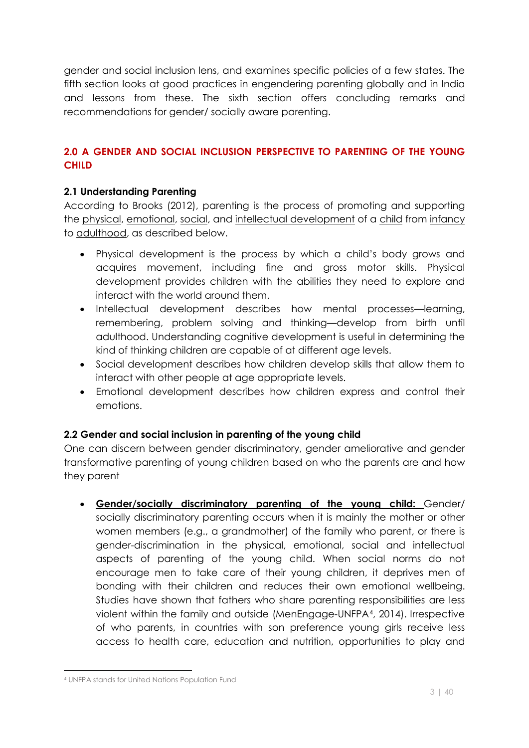gender and social inclusion lens, and examines specific policies of a few states. The fifth section looks at good practices in engendering parenting globally and in India and lessons from these. The sixth section offers concluding remarks and recommendations for gender/ socially aware parenting.

# **2.0 A GENDER AND SOCIAL INCLUSION PERSPECTIVE TO PARENTING OF THE YOUNG CHILD**

#### **2.1 Understanding Parenting**

According to Brooks (2012), parenting is the process of promoting and supporting the physical, emotional, social, and intellectual development of a child from infancy to adulthood, as described below.

- Physical development is the process by which a child's body grows and acquires movement, including fine and gross motor skills. Physical development provides children with the abilities they need to explore and interact with the world around them.
- x Intellectual development describes how mental processes—learning, remembering, problem solving and thinking—develop from birth until adulthood. Understanding cognitive development is useful in determining the kind of thinking children are capable of at different age levels.
- Social development describes how children develop skills that allow them to interact with other people at age appropriate levels.
- Emotional development describes how children express and control their emotions.

## **2.2 Gender and social inclusion in parenting of the young child**

One can discern between gender discriminatory, gender ameliorative and gender transformative parenting of young children based on who the parents are and how they parent

x **Gender/socially discriminatory parenting of the young child:** Gender/ socially discriminatory parenting occurs when it is mainly the mother or other women members (e.g., a grandmother) of the family who parent, or there is gender-discrimination in the physical, emotional, social and intellectual aspects of parenting of the young child. When social norms do not encourage men to take care of their young children, it deprives men of bonding with their children and reduces their own emotional wellbeing. Studies have shown that fathers who share parenting responsibilities are less violent within the family and outside (MenEngage-UNFPA4, 2014). Irrespective of who parents, in countries with son preference young girls receive less access to health care, education and nutrition, opportunities to play and

 $\overline{a}$ 

<sup>4</sup> UNFPA stands for United Nations Population Fund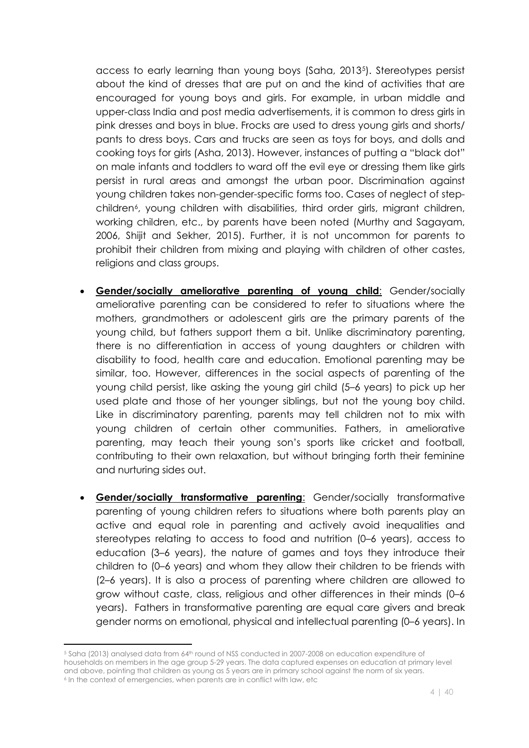access to early learning than young boys (Saha, 20135). Stereotypes persist about the kind of dresses that are put on and the kind of activities that are encouraged for young boys and girls. For example, in urban middle and upper-class India and post media advertisements, it is common to dress girls in pink dresses and boys in blue. Frocks are used to dress young girls and shorts/ pants to dress boys. Cars and trucks are seen as toys for boys, and dolls and cooking toys for girls (Asha, 2013). However, instances of putting a "black dot" on male infants and toddlers to ward off the evil eye or dressing them like girls persist in rural areas and amongst the urban poor. Discrimination against young children takes non-gender-specific forms too. Cases of neglect of stepchildren<sup>6</sup>, young children with disabilities, third order girls, migrant children, working children, etc., by parents have been noted (Murthy and Sagayam, 2006, Shijit and Sekher, 2015). Further, it is not uncommon for parents to prohibit their children from mixing and playing with children of other castes, religions and class groups.

- x **Gender/socially ameliorative parenting of young child**: Gender/socially ameliorative parenting can be considered to refer to situations where the mothers, grandmothers or adolescent girls are the primary parents of the young child, but fathers support them a bit. Unlike discriminatory parenting, there is no differentiation in access of young daughters or children with disability to food, health care and education. Emotional parenting may be similar, too. However, differences in the social aspects of parenting of the young child persist, like asking the young girl child (5–6 years) to pick up her used plate and those of her younger siblings, but not the young boy child. Like in discriminatory parenting, parents may tell children not to mix with young children of certain other communities. Fathers, in ameliorative parenting, may teach their young son's sports like cricket and football, contributing to their own relaxation, but without bringing forth their feminine and nurturing sides out.
- x **Gender/socially transformative parenting**: Gender/socially transformative parenting of young children refers to situations where both parents play an active and equal role in parenting and actively avoid inequalities and stereotypes relating to access to food and nutrition (0–6 years), access to education (3–6 years), the nature of games and toys they introduce their children to (0–6 years) and whom they allow their children to be friends with (2–6 years). It is also a process of parenting where children are allowed to grow without caste, class, religious and other differences in their minds (0–6 years). Fathers in transformative parenting are equal care givers and break gender norms on emotional, physical and intellectual parenting (0–6 years). In

<sup>&</sup>lt;u>.</u> <sup>5</sup> Saha (2013) analysed data from 64th round of NSS conducted in 2007-2008 on education expenditure of households on members in the age group 5-29 years. The data captured expenses on education at primary level and above, pointing that children as young as 5 years are in primary school against the norm of six years. 6 In the context of emergencies, when parents are in conflict with law, etc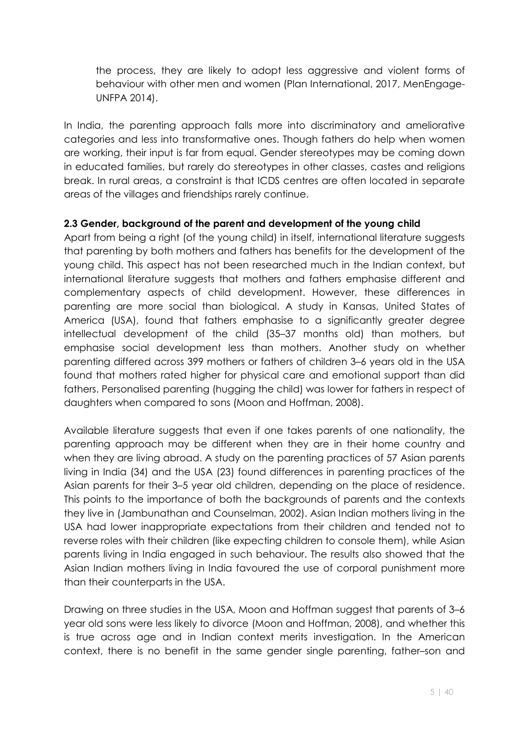the process, they are likely to adopt less aggressive and violent forms of behaviour with other men and women (Plan International, 2017, MenEngage-UNFPA 2014).

In India, the parenting approach falls more into discriminatory and ameliorative categories and less into transformative ones. Though fathers do help when women are working, their input is far from equal. Gender stereotypes may be coming down in educated families, but rarely do stereotypes in other classes, castes and religions break. In rural areas, a constraint is that ICDS centres are often located in separate areas of the villages and friendships rarely continue.

#### **2.3 Gender, background of the parent and development of the young child**

Apart from being a right (of the young child) in itself, international literature suggests that parenting by both mothers and fathers has benefits for the development of the young child. This aspect has not been researched much in the Indian context, but international literature suggests that mothers and fathers emphasise different and complementary aspects of child development. However, these differences in parenting are more social than biological. A study in Kansas, United States of America (USA), found that fathers emphasise to a significantly greater degree intellectual development of the child (35–37 months old) than mothers, but emphasise social development less than mothers. Another study on whether parenting differed across 399 mothers or fathers of children 3–6 years old in the USA found that mothers rated higher for physical care and emotional support than did fathers. Personalised parenting (hugging the child) was lower for fathers in respect of daughters when compared to sons (Moon and Hoffman, 2008).

Available literature suggests that even if one takes parents of one nationality, the parenting approach may be different when they are in their home country and when they are living abroad. A study on the parenting practices of 57 Asian parents living in India (34) and the USA (23) found differences in parenting practices of the Asian parents for their 3–5 year old children, depending on the place of residence. This points to the importance of both the backgrounds of parents and the contexts they live in (Jambunathan and Counselman, 2002). Asian Indian mothers living in the USA had lower inappropriate expectations from their children and tended not to reverse roles with their children (like expecting children to console them), while Asian parents living in India engaged in such behaviour. The results also showed that the Asian Indian mothers living in India favoured the use of corporal punishment more than their counterparts in the USA.

Drawing on three studies in the USA, Moon and Hoffman suggest that parents of 3–6 year old sons were less likely to divorce (Moon and Hoffman, 2008), and whether this is true across age and in Indian context merits investigation. In the American context, there is no benefit in the same gender single parenting, father–son and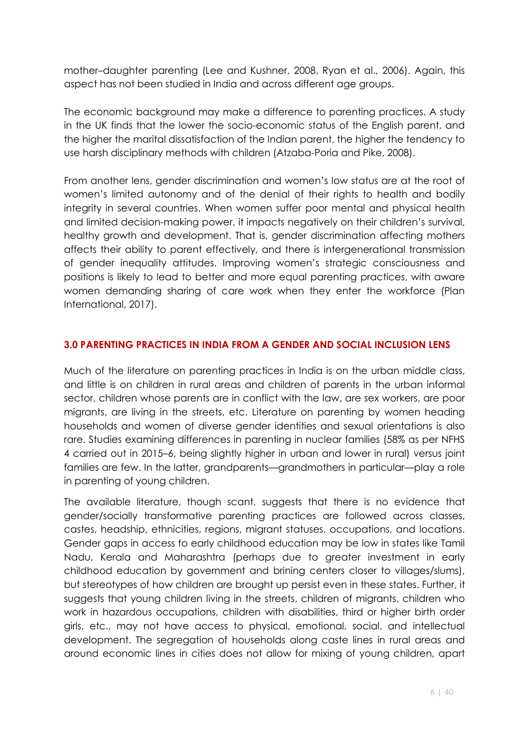mother–daughter parenting (Lee and Kushner, 2008, Ryan et al., 2006). Again, this aspect has not been studied in India and across different age groups.

The economic background may make a difference to parenting practices. A study in the UK finds that the lower the socio-economic status of the English parent, and the higher the marital dissatisfaction of the Indian parent, the higher the tendency to use harsh disciplinary methods with children (Atzaba-Poria and Pike, 2008).

From another lens, gender discrimination and women's low status are at the root of women's limited autonomy and of the denial of their rights to health and bodily integrity in several countries. When women suffer poor mental and physical health and limited decision-making power, it impacts negatively on their children's survival, healthy growth and development. That is, gender discrimination affecting mothers affects their ability to parent effectively, and there is intergenerational transmission of gender inequality attitudes. Improving women's strategic consciousness and positions is likely to lead to better and more equal parenting practices, with aware women demanding sharing of care work when they enter the workforce (Plan International, 2017).

#### **3.0 PARENTING PRACTICES IN INDIA FROM A GENDER AND SOCIAL INCLUSION LENS**

Much of the literature on parenting practices in India is on the urban middle class, and little is on children in rural areas and children of parents in the urban informal sector, children whose parents are in conflict with the law, are sex workers, are poor migrants, are living in the streets, etc. Literature on parenting by women heading households and women of diverse gender identities and sexual orientations is also rare. Studies examining differences in parenting in nuclear families (58% as per NFHS 4 carried out in 2015–6, being slightly higher in urban and lower in rural) versus joint families are few. In the latter, grandparents—grandmothers in particular—play a role in parenting of young children.

The available literature, though scant, suggests that there is no evidence that gender/socially transformative parenting practices are followed across classes, castes, headship, ethnicities, regions, migrant statuses, occupations, and locations. Gender gaps in access to early childhood education may be low in states like Tamil Nadu, Kerala and Maharashtra (perhaps due to greater investment in early childhood education by government and brining centers closer to villages/slums), but stereotypes of how children are brought up persist even in these states. Further, it suggests that young children living in the streets, children of migrants, children who work in hazardous occupations, children with disabilities, third or higher birth order girls, etc., may not have access to physical, emotional, social, and intellectual development. The segregation of households along caste lines in rural areas and around economic lines in cities does not allow for mixing of young children, apart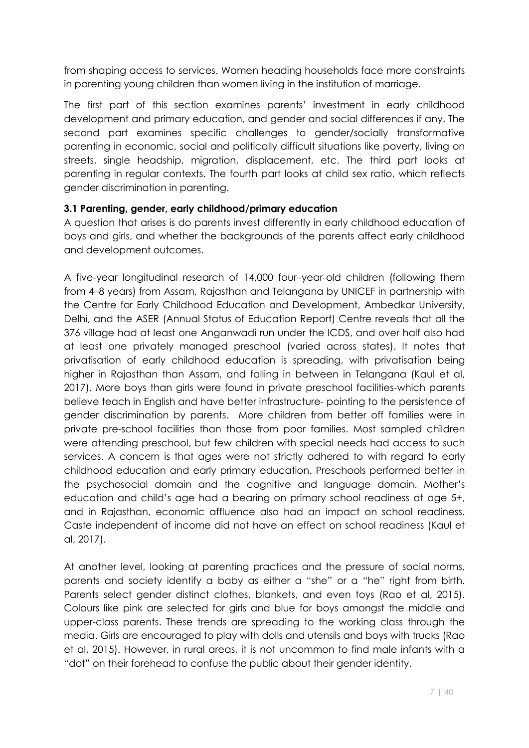from shaping access to services. Women heading households face more constraints in parenting young children than women living in the institution of marriage.

The first part of this section examines parents' investment in early childhood development and primary education, and gender and social differences if any. The second part examines specific challenges to gender/socially transformative parenting in economic, social and politically difficult situations like poverty, living on streets, single headship, migration, displacement, etc. The third part looks at parenting in regular contexts. The fourth part looks at child sex ratio, which reflects gender discrimination in parenting.

#### **3.1 Parenting, gender, early childhood/primary education**

A question that arises is do parents invest differently in early childhood education of boys and girls, and whether the backgrounds of the parents affect early childhood and development outcomes.

A five-year longitudinal research of 14,000 four–year-old children (following them from 4–8 years) from Assam, Rajasthan and Telangana by UNICEF in partnership with the Centre for Early Childhood Education and Development, Ambedkar University, Delhi, and the ASER (Annual Status of Education Report) Centre reveals that all the 376 village had at least one Anganwadi run under the ICDS, and over half also had at least one privately managed preschool (varied across states). It notes that privatisation of early childhood education is spreading, with privatisation being higher in Rajasthan than Assam, and falling in between in Telangana (Kaul et al, 2017). More boys than girls were found in private preschool facilities-which parents believe teach in English and have better infrastructure- pointing to the persistence of gender discrimination by parents. More children from better off families were in private pre-school facilities than those from poor families. Most sampled children were attending preschool, but few children with special needs had access to such services. A concern is that ages were not strictly adhered to with regard to early childhood education and early primary education. Preschools performed better in the psychosocial domain and the cognitive and language domain. Mother's education and child's age had a bearing on primary school readiness at age 5+, and in Rajasthan, economic affluence also had an impact on school readiness. Caste independent of income did not have an effect on school readiness (Kaul et al, 2017).

At another level, looking at parenting practices and the pressure of social norms, parents and society identify a baby as either a "she" or a "he" right from birth. Parents select gender distinct clothes, blankets, and even toys (Rao et al, 2015). Colours like pink are selected for girls and blue for boys amongst the middle and upper-class parents. These trends are spreading to the working class through the media. Girls are encouraged to play with dolls and utensils and boys with trucks (Rao et al, 2015). However, in rural areas, it is not uncommon to find male infants with a "dot" on their forehead to confuse the public about their gender identity.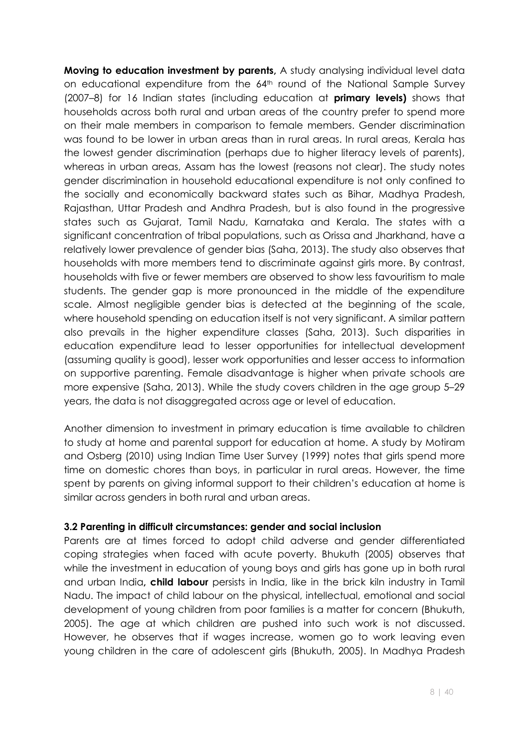**Moving to education investment by parents,** A study analysing individual level data on educational expenditure from the 64<sup>th</sup> round of the National Sample Survey (2007–8) for 16 Indian states (including education at **primary levels)** shows that households across both rural and urban areas of the country prefer to spend more on their male members in comparison to female members. Gender discrimination was found to be lower in urban areas than in rural areas. In rural areas, Kerala has the lowest gender discrimination (perhaps due to higher literacy levels of parents), whereas in urban areas, Assam has the lowest (reasons not clear). The study notes gender discrimination in household educational expenditure is not only confined to the socially and economically backward states such as Bihar, Madhya Pradesh, Rajasthan, Uttar Pradesh and Andhra Pradesh, but is also found in the progressive states such as Gujarat, Tamil Nadu, Karnataka and Kerala. The states with a significant concentration of tribal populations, such as Orissa and Jharkhand, have a relatively lower prevalence of gender bias (Saha, 2013). The study also observes that households with more members tend to discriminate against girls more. By contrast, households with five or fewer members are observed to show less favouritism to male students. The gender gap is more pronounced in the middle of the expenditure scale. Almost negligible gender bias is detected at the beginning of the scale, where household spending on education itself is not very significant. A similar pattern also prevails in the higher expenditure classes (Saha, 2013). Such disparities in education expenditure lead to lesser opportunities for intellectual development (assuming quality is good), lesser work opportunities and lesser access to information on supportive parenting. Female disadvantage is higher when private schools are more expensive (Saha, 2013). While the study covers children in the age group 5–29 years, the data is not disaggregated across age or level of education.

Another dimension to investment in primary education is time available to children to study at home and parental support for education at home. A study by Motiram and Osberg (2010) using Indian Time User Survey (1999) notes that girls spend more time on domestic chores than boys, in particular in rural areas. However, the time spent by parents on giving informal support to their children's education at home is similar across genders in both rural and urban areas.

#### **3.2 Parenting in difficult circumstances: gender and social inclusion**

Parents are at times forced to adopt child adverse and gender differentiated coping strategies when faced with acute poverty. Bhukuth (2005) observes that while the investment in education of young boys and girls has gone up in both rural and urban India**, child labour** persists in India, like in the brick kiln industry in Tamil Nadu. The impact of child labour on the physical, intellectual, emotional and social development of young children from poor families is a matter for concern (Bhukuth, 2005). The age at which children are pushed into such work is not discussed. However, he observes that if wages increase, women go to work leaving even young children in the care of adolescent girls (Bhukuth, 2005). In Madhya Pradesh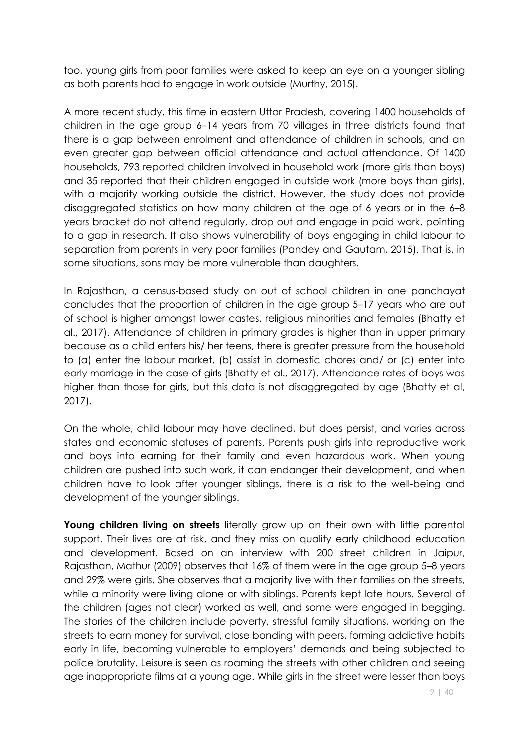too, young girls from poor families were asked to keep an eye on a younger sibling as both parents had to engage in work outside (Murthy, 2015).

A more recent study, this time in eastern Uttar Pradesh, covering 1400 households of children in the age group 6–14 years from 70 villages in three districts found that there is a gap between enrolment and attendance of children in schools, and an even greater gap between official attendance and actual attendance. Of 1400 households, 793 reported children involved in household work (more girls than boys) and 35 reported that their children engaged in outside work (more boys than girls), with a majority working outside the district. However, the study does not provide disaggregated statistics on how many children at the age of 6 years or in the 6–8 years bracket do not attend regularly, drop out and engage in paid work, pointing to a gap in research. It also shows vulnerability of boys engaging in child labour to separation from parents in very poor families (Pandey and Gautam, 2015). That is, in some situations, sons may be more vulnerable than daughters.

In Rajasthan, a census-based study on out of school children in one panchayat concludes that the proportion of children in the age group 5–17 years who are out of school is higher amongst lower castes, religious minorities and females (Bhatty et al., 2017). Attendance of children in primary grades is higher than in upper primary because as a child enters his/ her teens, there is greater pressure from the household to (a) enter the labour market, (b) assist in domestic chores and/ or (c) enter into early marriage in the case of girls (Bhatty et al., 2017). Attendance rates of boys was higher than those for girls, but this data is not disaggregated by age (Bhatty et al, 2017).

On the whole, child labour may have declined, but does persist, and varies across states and economic statuses of parents. Parents push girls into reproductive work and boys into earning for their family and even hazardous work. When young children are pushed into such work, it can endanger their development, and when children have to look after younger siblings, there is a risk to the well-being and development of the younger siblings.

**Young children living on streets** literally grow up on their own with little parental support. Their lives are at risk, and they miss on quality early childhood education and development. Based on an interview with 200 street children in Jaipur, Rajasthan, Mathur (2009) observes that 16% of them were in the age group 5–8 years and 29% were girls. She observes that a majority live with their families on the streets, while a minority were living alone or with siblings. Parents kept late hours. Several of the children (ages not clear) worked as well, and some were engaged in begging. The stories of the children include poverty, stressful family situations, working on the streets to earn money for survival, close bonding with peers, forming addictive habits early in life, becoming vulnerable to employers' demands and being subjected to police brutality. Leisure is seen as roaming the streets with other children and seeing age inappropriate films at a young age. While girls in the street were lesser than boys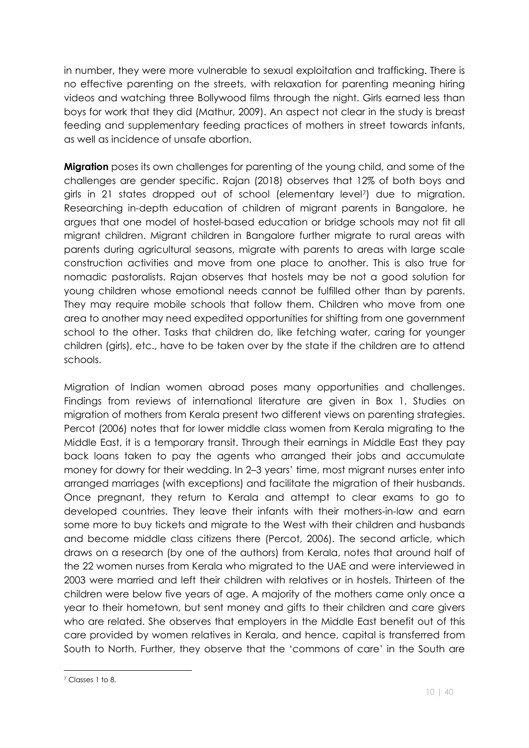in number, they were more vulnerable to sexual exploitation and trafficking. There is no effective parenting on the streets, with relaxation for parenting meaning hiring videos and watching three Bollywood films through the night. Girls earned less than boys for work that they did (Mathur, 2009). An aspect not clear in the study is breast feeding and supplementary feeding practices of mothers in street towards infants, as well as incidence of unsafe abortion.

**Migration** poses its own challenges for parenting of the young child, and some of the challenges are gender specific. Rajan (2018) observes that 12% of both boys and girls in 21 states dropped out of school (elementary level7) due to migration. Researching in-depth education of children of migrant parents in Bangalore, he argues that one model of hostel-based education or bridge schools may not fit all migrant children. Migrant children in Bangalore further migrate to rural areas with parents during agricultural seasons, migrate with parents to areas with large scale construction activities and move from one place to another. This is also true for nomadic pastoralists. Rajan observes that hostels may be not a good solution for young children whose emotional needs cannot be fulfilled other than by parents. They may require mobile schools that follow them. Children who move from one area to another may need expedited opportunities for shifting from one government school to the other. Tasks that children do, like fetching water, caring for younger children (girls), etc., have to be taken over by the state if the children are to attend schools.

Migration of Indian women abroad poses many opportunities and challenges. Findings from reviews of international literature are given in Box 1. Studies on migration of mothers from Kerala present two different views on parenting strategies. Percot (2006) notes that for lower middle class women from Kerala migrating to the Middle East, it is a temporary transit. Through their earnings in Middle East they pay back loans taken to pay the agents who arranged their jobs and accumulate money for dowry for their wedding. In 2–3 years' time, most migrant nurses enter into arranged marriages (with exceptions) and facilitate the migration of their husbands. Once pregnant, they return to Kerala and attempt to clear exams to go to developed countries. They leave their infants with their mothers-in-law and earn some more to buy tickets and migrate to the West with their children and husbands and become middle class citizens there (Percot, 2006). The second article, which draws on a research (by one of the authors) from Kerala, notes that around half of the 22 women nurses from Kerala who migrated to the UAE and were interviewed in 2003 were married and left their children with relatives or in hostels. Thirteen of the children were below five years of age. A majority of the mothers came only once a year to their hometown, but sent money and gifts to their children and care givers who are related. She observes that employers in the Middle East benefit out of this care provided by women relatives in Kerala, and hence, capital is transferred from South to North. Further, they observe that the 'commons of care' in the South are

 $\overline{a}$ 

<sup>7</sup> Classes 1 to 8.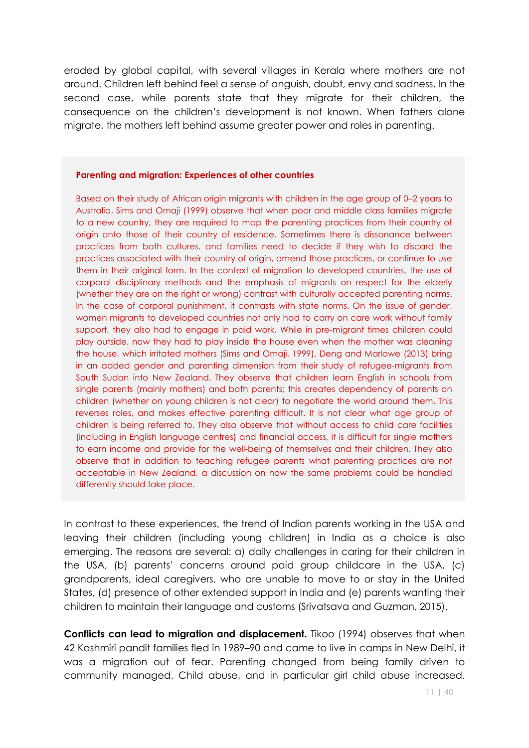eroded by global capital, with several villages in Kerala where mothers are not around. Children left behind feel a sense of anguish, doubt, envy and sadness. In the second case, while parents state that they migrate for their children, the consequence on the children's development is not known. When fathers alone migrate, the mothers left behind assume greater power and roles in parenting.

#### **Parenting and migration: Experiences of other countries**

Based on their study of African origin migrants with children in the age group of 0–2 years to Australia, Sims and Omaji (1999) observe that when poor and middle class families migrate to a new country, they are required to map the parenting practices from their country of origin onto those of their country of residence. Sometimes there is dissonance between practices from both cultures, and families need to decide if they wish to discard the practices associated with their country of origin, amend those practices, or continue to use them in their original form. In the context of migration to developed countries, the use of corporal disciplinary methods and the emphasis of migrants on respect for the elderly (whether they are on the right or wrong) contrast with culturally accepted parenting norms. In the case of corporal punishment, it contrasts with state norms. On the issue of gender, women migrants to developed countries not only had to carry on care work without family support, they also had to engage in paid work. While in pre-migrant times children could play outside, now they had to play inside the house even when the mother was cleaning the house, which irritated mothers (Sims and Omaji, 1999). Deng and Marlowe (2013) bring in an added gender and parenting dimension from their study of refugee-migrants from South Sudan into New Zealand. They observe that children learn English in schools from single parents (mainly mothers) and both parents; this creates dependency of parents on children (whether on young children is not clear) to negotiate the world around them. This reverses roles, and makes effective parenting difficult. It is not clear what age group of children is being referred to. They also observe that without access to child care facilities (including in English language centres) and financial access, it is difficult for single mothers to earn income and provide for the well-being of themselves and their children. They also observe that in addition to teaching refugee parents what parenting practices are not acceptable in New Zealand, a discussion on how the same problems could be handled differently should take place.

In contrast to these experiences, the trend of Indian parents working in the USA and leaving their children (including young children) in India as a choice is also emerging. The reasons are several: a) daily challenges in caring for their children in the USA, (b) parents' concerns around paid group childcare in the USA, (c) grandparents, ideal caregivers, who are unable to move to or stay in the United States, (d) presence of other extended support in India and (e) parents wanting their children to maintain their language and customs (Srivatsava and Guzman, 2015).

**Conflicts can lead to migration and displacement.** Tikoo (1994) observes that when 42 Kashmiri pandit families fled in 1989–90 and came to live in camps in New Delhi, it was a migration out of fear. Parenting changed from being family driven to community managed. Child abuse, and in particular girl child abuse increased.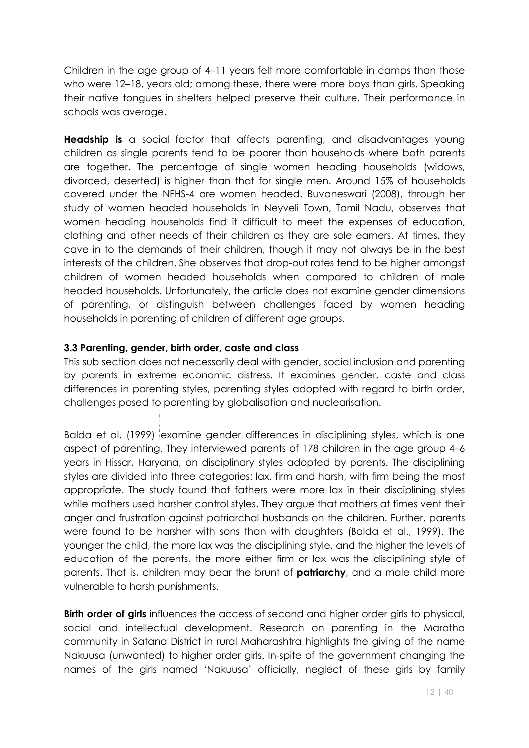Children in the age group of 4–11 years felt more comfortable in camps than those who were 12–18, years old; among these, there were more boys than girls. Speaking their native tongues in shelters helped preserve their culture. Their performance in schools was average.

**Headship is** a social factor that affects parenting, and disadvantages young children as single parents tend to be poorer than households where both parents are together. The percentage of single women heading households (widows, divorced, deserted) is higher than that for single men. Around 15% of households covered under the NFHS-4 are women headed. Buvaneswari (2008), through her study of women headed households in Neyveli Town, Tamil Nadu, observes that women heading households find it difficult to meet the expenses of education, clothing and other needs of their children as they are sole earners. At times, they cave in to the demands of their children, though it may not always be in the best interests of the children. She observes that drop-out rates tend to be higher amongst children of women headed households when compared to children of male headed households. Unfortunately, the article does not examine gender dimensions of parenting, or distinguish between challenges faced by women heading households in parenting of children of different age groups.

#### **3.3 Parenting, gender, birth order, caste and class**

This sub section does not necessarily deal with gender, social inclusion and parenting by parents in extreme economic distress. It examines gender, caste and class differences in parenting styles, parenting styles adopted with regard to birth order, challenges posed to parenting by globalisation and nuclearisation.

Balda et al. (1999) examine gender differences in disciplining styles, which is one aspect of parenting. They interviewed parents of 178 children in the age group 4–6 years in Hissar, Haryana, on disciplinary styles adopted by parents. The disciplining styles are divided into three categories: lax, firm and harsh, with firm being the most appropriate. The study found that fathers were more lax in their disciplining styles while mothers used harsher control styles. They argue that mothers at times vent their anger and frustration against patriarchal husbands on the children. Further, parents were found to be harsher with sons than with daughters (Balda et al., 1999). The younger the child, the more lax was the disciplining style, and the higher the levels of education of the parents, the more either firm or lax was the disciplining style of parents. That is, children may bear the brunt of **patriarchy**, and a male child more vulnerable to harsh punishments.

**Birth order of girls** influences the access of second and higher order girls to physical, social and intellectual development. Research on parenting in the Maratha community in Satana District in rural Maharashtra highlights the giving of the name Nakuusa (unwanted) to higher order girls. In-spite of the government changing the names of the girls named 'Nakuusa' officially, neglect of these girls by family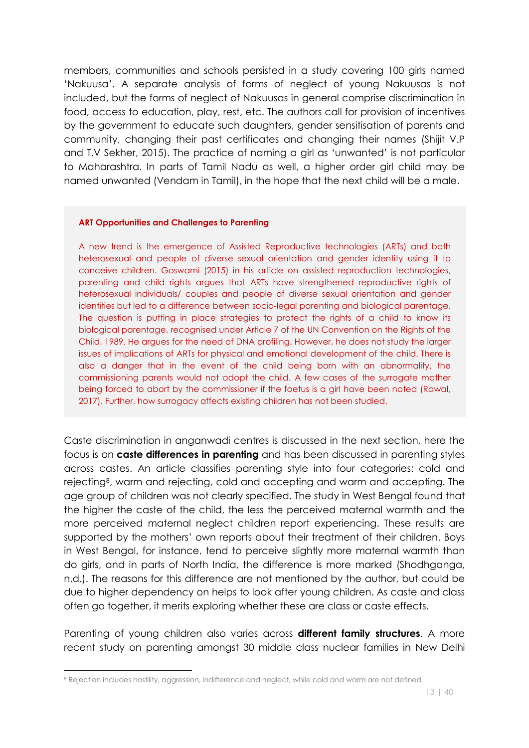members, communities and schools persisted in a study covering 100 girls named 'Nakuusa'. A separate analysis of forms of neglect of young Nakuusas is not included, but the forms of neglect of Nakuusas in general comprise discrimination in food, access to education, play, rest, etc. The authors call for provision of incentives by the government to educate such daughters, gender sensitisation of parents and community, changing their past certificates and changing their names (Shijit V.P and T.V Sekher, 2015). The practice of naming a girl as 'unwanted' is not particular to Maharashtra. In parts of Tamil Nadu as well, a higher order girl child may be named unwanted (Vendam in Tamil), in the hope that the next child will be a male.

#### **ART Opportunities and Challenges to Parenting**

A new trend is the emergence of Assisted Reproductive technologies (ARTs) and both heterosexual and people of diverse sexual orientation and gender identity using it to conceive children. Goswami (2015) in his article on assisted reproduction technologies, parenting and child rights argues that ARTs have strengthened reproductive rights of heterosexual individuals/ couples and people of diverse sexual orientation and gender identities but led to a difference between socio-legal parenting and biological parentage. The question is putting in place strategies to protect the rights of a child to know its biological parentage, recognised under Article 7 of the UN Convention on the Rights of the Child, 1989. He argues for the need of DNA profiling. However, he does not study the larger issues of implications of ARTs for physical and emotional development of the child. There is also a danger that in the event of the child being born with an abnormality, the commissioning parents would not adopt the child. A few cases of the surrogate mother being forced to abort by the commissioner if the foetus is a girl have been noted (Rawal, 2017). Further, how surrogacy affects existing children has not been studied.

Caste discrimination in anganwadi centres is discussed in the next section, here the focus is on **caste differences in parenting** and has been discussed in parenting styles across castes. An article classifies parenting style into four categories: cold and rejecting8, warm and rejecting, cold and accepting and warm and accepting. The age group of children was not clearly specified. The study in West Bengal found that the higher the caste of the child, the less the perceived maternal warmth and the more perceived maternal neglect children report experiencing. These results are supported by the mothers' own reports about their treatment of their children. Boys in West Bengal, for instance, tend to perceive slightly more maternal warmth than do girls, and in parts of North India, the difference is more marked (Shodhganga, n.d.). The reasons for this difference are not mentioned by the author, but could be due to higher dependency on helps to look after young children. As caste and class often go together, it merits exploring whether these are class or caste effects.

Parenting of young children also varies across **different family structures**. A more recent study on parenting amongst 30 middle class nuclear families in New Delhi

 $\overline{a}$ 

<sup>8</sup> Rejection includes hostility, aggression, indifference and neglect, while cold and warm are not defined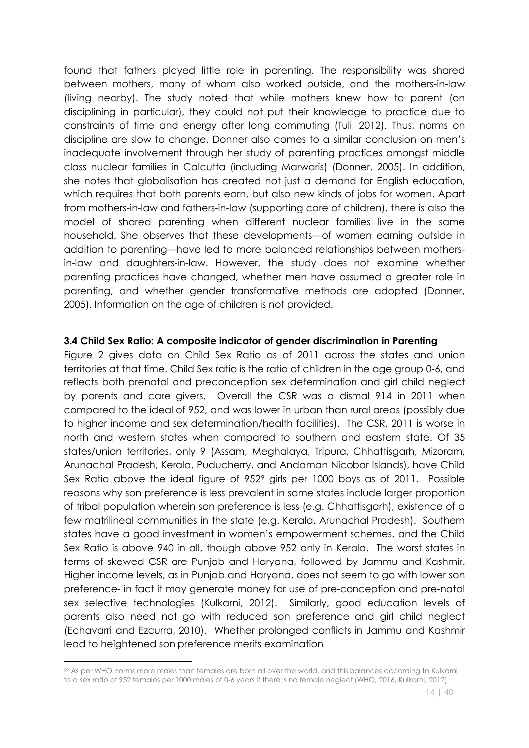found that fathers played little role in parenting. The responsibility was shared between mothers, many of whom also worked outside, and the mothers-in-law (living nearby). The study noted that while mothers knew how to parent (on disciplining in particular), they could not put their knowledge to practice due to constraints of time and energy after long commuting (Tuli, 2012). Thus, norms on discipline are slow to change. Donner also comes to a similar conclusion on men's inadequate involvement through her study of parenting practices amongst middle class nuclear families in Calcutta (including Marwaris) (Donner, 2005). In addition, she notes that globalisation has created not just a demand for English education, which requires that both parents earn, but also new kinds of jobs for women. Apart from mothers-in-law and fathers-in-law (supporting care of children), there is also the model of shared parenting when different nuclear families live in the same household. She observes that these developments—of women earning outside in addition to parenting—have led to more balanced relationships between mothersin-law and daughters-in-law. However, the study does not examine whether parenting practices have changed, whether men have assumed a greater role in parenting, and whether gender transformative methods are adopted (Donner, 2005). Information on the age of children is not provided.

#### **3.4 Child Sex Ratio: A composite indicator of gender discrimination in Parenting**

Figure 2 gives data on Child Sex Ratio as of 2011 across the states and union territories at that time. Child Sex ratio is the ratio of children in the age group 0-6, and reflects both prenatal and preconception sex determination and girl child neglect by parents and care givers. Overall the CSR was a dismal 914 in 2011 when compared to the ideal of 952, and was lower in urban than rural areas (possibly due to higher income and sex determination/health facilities). The CSR, 2011 is worse in north and western states when compared to southern and eastern state. Of 35 states/union territories, only 9 (Assam, Meghalaya, Tripura, Chhattisgarh, Mizoram, Arunachal Pradesh, Kerala, Puducherry, and Andaman Nicobar Islands), have Child Sex Ratio above the ideal figure of 952<sup>9</sup> girls per 1000 boys as of 2011. Possible reasons why son preference is less prevalent in some states include larger proportion of tribal population wherein son preference is less (e.g. Chhattisgarh), existence of a few matrilineal communities in the state (e.g. Kerala, Arunachal Pradesh). Southern states have a good investment in women's empowerment schemes, and the Child Sex Ratio is above 940 in all, though above 952 only in Kerala. The worst states in terms of skewed CSR are Punjab and Haryana, followed by Jammu and Kashmir. Higher income levels, as in Punjab and Haryana, does not seem to go with lower son preference- in fact it may generate money for use of pre-conception and pre-natal sex selective technologies (Kulkarni, 2012). Similarly, good education levels of parents also need not go with reduced son preference and girl child neglect (Echavarri and Ezcurra, 2010). Whether prolonged conflicts in Jammu and Kashmir lead to heightened son preference merits examination

<u>.</u>

<sup>99</sup> As per WHO norms more males than females are born all over the world, and this balances according to Kulkarni to a sex ratio of 952 females per 1000 males of 0-6 years if there is no female neglect (WHO, 2016, Kulkarni, 2012)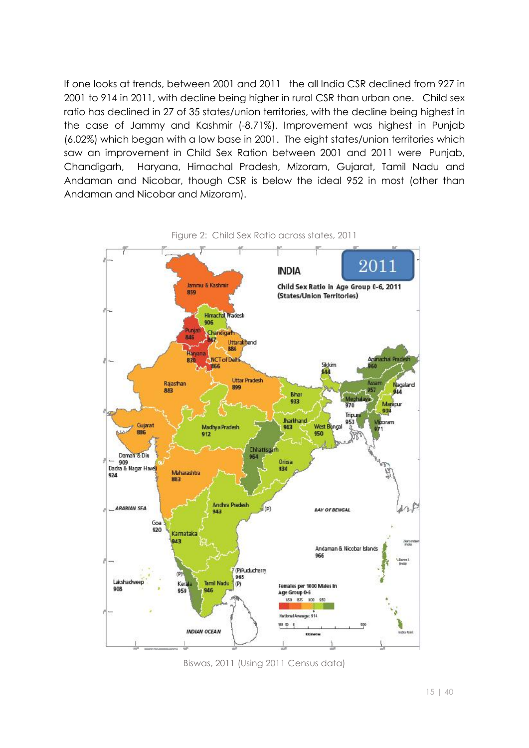If one looks at trends, between 2001 and 2011 the all India CSR declined from 927 in 2001 to 914 in 2011, with decline being higher in rural CSR than urban one. Child sex ratio has declined in 27 of 35 states/union territories, with the decline being highest in the case of Jammy and Kashmir (-8.71%). Improvement was highest in Punjab (6.02%) which began with a low base in 2001. The eight states/union territories which saw an improvement in Child Sex Ration between 2001 and 2011 were Punjab, Chandigarh, Haryana, Himachal Pradesh, Mizoram, Gujarat, Tamil Nadu and Andaman and Nicobar, though CSR is below the ideal 952 in most (other than Andaman and Nicobar and Mizoram).



Biswas, 2011 (Using 2011 Census data)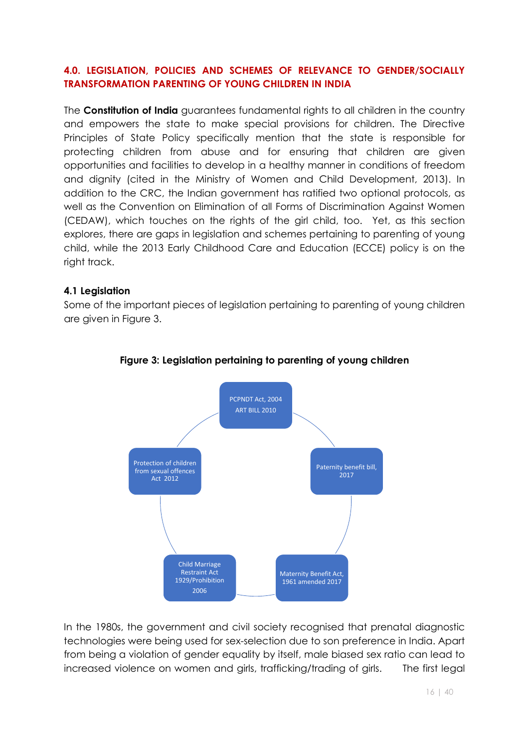#### **4.0. LEGISLATION, POLICIES AND SCHEMES OF RELEVANCE TO GENDER/SOCIALLY TRANSFORMATION PARENTING OF YOUNG CHILDREN IN INDIA**

The **Constitution of India** guarantees fundamental rights to all children in the country and empowers the state to make special provisions for children. The Directive Principles of State Policy specifically mention that the state is responsible for protecting children from abuse and for ensuring that children are given opportunities and facilities to develop in a healthy manner in conditions of freedom and dignity (cited in the Ministry of Women and Child Development, 2013). In addition to the CRC, the Indian government has ratified two optional protocols, as well as the Convention on Elimination of all Forms of Discrimination Against Women (CEDAW), which touches on the rights of the girl child, too. Yet, as this section explores, there are gaps in legislation and schemes pertaining to parenting of young child, while the 2013 Early Childhood Care and Education (ECCE) policy is on the right track.

#### **4.1 Legislation**

Some of the important pieces of legislation pertaining to parenting of young children are given in Figure 3.



#### **Figure 3: Legislation pertaining to parenting of young children**

In the 1980s, the government and civil society recognised that prenatal diagnostic technologies were being used for sex-selection due to son preference in India. Apart from being a violation of gender equality by itself, male biased sex ratio can lead to increased violence on women and girls, trafficking/trading of girls. The first legal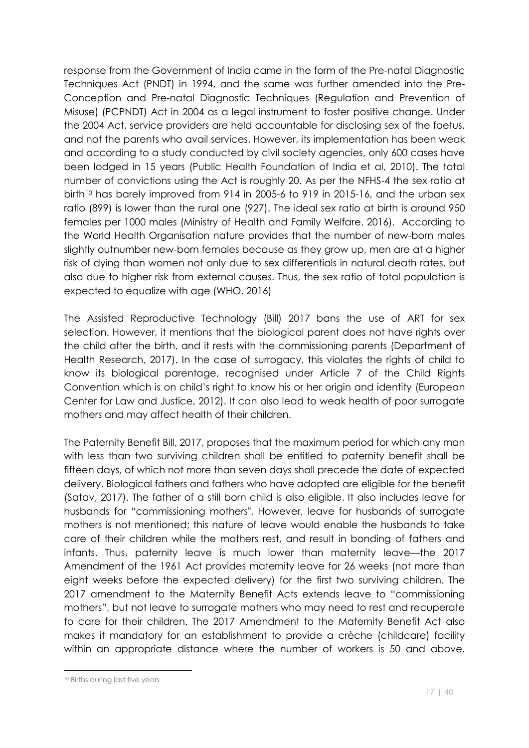response from the Government of India came in the form of the Pre-natal Diagnostic Techniques Act (PNDT) in 1994, and the same was further amended into the Pre-Conception and Pre-natal Diagnostic Techniques (Regulation and Prevention of Misuse) (PCPNDT) Act in 2004 as a legal instrument to foster positive change. Under the 2004 Act, service providers are held accountable for disclosing sex of the foetus, and not the parents who avail services. However, its implementation has been weak and according to a study conducted by civil society agencies, only 600 cases have been lodged in 15 years (Public Health Foundation of India et al, 2010). The total number of convictions using the Act is roughly 20. As per the NFHS-4 the sex ratio at birth<sup>10</sup> has barely improved from 914 in 2005-6 to 919 in 2015-16, and the urban sex ratio (899) is lower than the rural one (927). The ideal sex ratio at birth is around 950 females per 1000 males (Ministry of Health and Family Welfare, 2016). According to the World Health Organisation nature provides that the number of new-born males slightly outnumber new-born females because as they grow up, men are at a higher risk of dying than women not only due to sex differentials in natural death rates, but also due to higher risk from external causes. Thus, the sex ratio of total population is expected to equalize with age (WHO. 2016)

The Assisted Reproductive Technology (Bill) 2017 bans the use of ART for sex selection. However, it mentions that the biological parent does not have rights over the child after the birth, and it rests with the commissioning parents (Department of Health Research, 2017). In the case of surrogacy, this violates the rights of child to know its biological parentage, recognised under Article 7 of the Child Rights Convention which is on child's right to know his or her origin and identity (European Center for Law and Justice, 2012). It can also lead to weak health of poor surrogate mothers and may affect health of their children.

The Paternity Benefit Bill, 2017, proposes that the maximum period for which any man with less than two surviving children shall be entitled to paternity benefit shall be fifteen days, of which not more than seven days shall precede the date of expected delivery. Biological fathers and fathers who have adopted are eligible for the benefit (Satav, 2017). The father of a still born child is also eligible. It also includes leave for husbands for "commissioning mothers". However, leave for husbands of surrogate mothers is not mentioned; this nature of leave would enable the husbands to take care of their children while the mothers rest, and result in bonding of fathers and infants. Thus, paternity leave is much lower than maternity leave—the 2017 Amendment of the 1961 Act provides maternity leave for 26 weeks (not more than eight weeks before the expected delivery) for the first two surviving children. The 2017 amendment to the Maternity Benefit Acts extends leave to "commissioning mothers", but not leave to surrogate mothers who may need to rest and recuperate to care for their children. The 2017 Amendment to the Maternity Benefit Act also makes it mandatory for an establishment to provide a crèche (childcare) facility within an appropriate distance where the number of workers is 50 and above.

 $\overline{a}$ 

<sup>10</sup> Births during last five years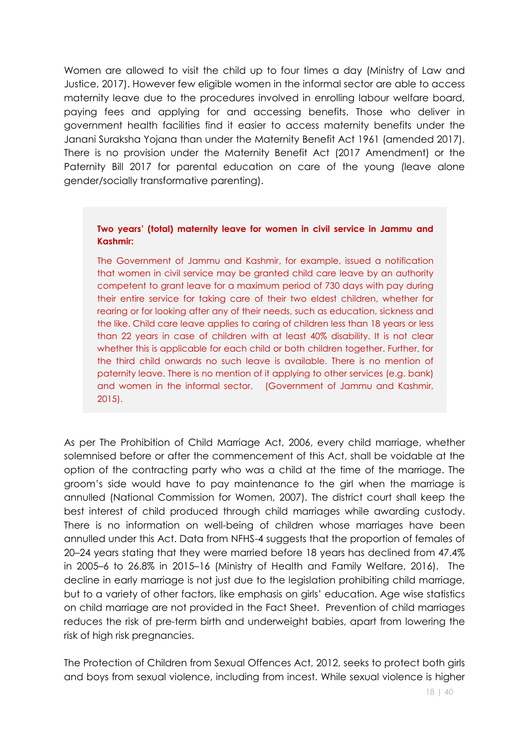Women are allowed to visit the child up to four times a day (Ministry of Law and Justice, 2017). However few eligible women in the informal sector are able to access maternity leave due to the procedures involved in enrolling labour welfare board, paying fees and applying for and accessing benefits. Those who deliver in government health facilities find it easier to access maternity benefits under the Janani Suraksha Yojana than under the Maternity Benefit Act 1961 (amended 2017). There is no provision under the Maternity Benefit Act (2017 Amendment) or the Paternity Bill 2017 for parental education on care of the young (leave alone gender/socially transformative parenting).

#### **Two years' (total) maternity leave for women in civil service in Jammu and Kashmir:**

The Government of Jammu and Kashmir, for example, issued a notification that women in civil service may be granted child care leave by an authority competent to grant leave for a maximum period of 730 days with pay during their entire service for taking care of their two eldest children, whether for rearing or for looking after any of their needs, such as education, sickness and the like. Child care leave applies to caring of children less than 18 years or less than 22 years in case of children with at least 40% disability. It is not clear whether this is applicable for each child or both children together. Further, for the third child onwards no such leave is available. There is no mention of paternity leave. There is no mention of it applying to other services (e.g. bank) and women in the informal sector. (Government of Jammu and Kashmir, 2015).

As per The Prohibition of Child Marriage Act, 2006, every child marriage, whether solemnised before or after the commencement of this Act, shall be voidable at the option of the contracting party who was a child at the time of the marriage. The groom's side would have to pay maintenance to the girl when the marriage is annulled (National Commission for Women, 2007). The district court shall keep the best interest of child produced through child marriages while awarding custody. There is no information on well-being of children whose marriages have been annulled under this Act. Data from NFHS-4 suggests that the proportion of females of 20–24 years stating that they were married before 18 years has declined from 47.4% in 2005–6 to 26.8% in 2015–16 (Ministry of Health and Family Welfare, 2016). The decline in early marriage is not just due to the legislation prohibiting child marriage, but to a variety of other factors, like emphasis on girls' education. Age wise statistics on child marriage are not provided in the Fact Sheet. Prevention of child marriages reduces the risk of pre-term birth and underweight babies, apart from lowering the risk of high risk pregnancies.

The Protection of Children from Sexual Offences Act, 2012, seeks to protect both girls and boys from sexual violence, including from incest. While sexual violence is higher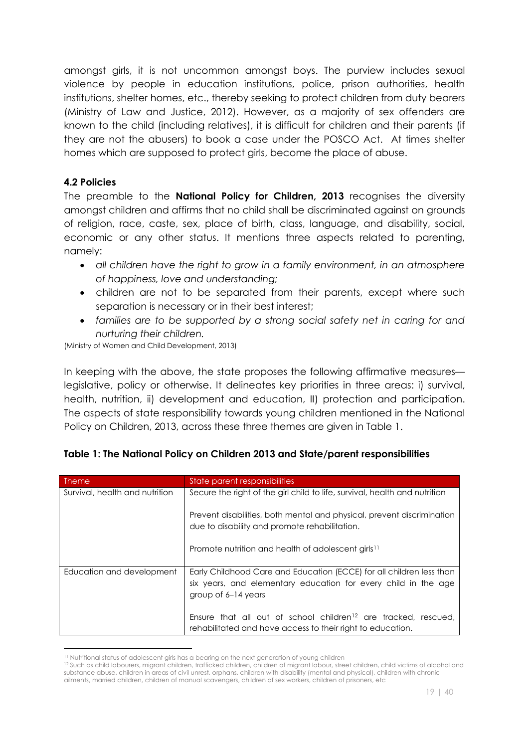amongst girls, it is not uncommon amongst boys. The purview includes sexual violence by people in education institutions, police, prison authorities, health institutions, shelter homes, etc., thereby seeking to protect children from duty bearers (Ministry of Law and Justice, 2012). However, as a majority of sex offenders are known to the child (including relatives), it is difficult for children and their parents (if they are not the abusers) to book a case under the POSCO Act. At times shelter homes which are supposed to protect girls, become the place of abuse.

#### **4.2 Policies**

The preamble to the **National Policy for Children, 2013** recognises the diversity amongst children and affirms that no child shall be discriminated against on grounds of religion, race, caste, sex, place of birth, class, language, and disability, social, economic or any other status. It mentions three aspects related to parenting, namely:

- x *all children have the right to grow in a family environment, in an atmosphere of happiness, love and understanding;*
- children are not to be separated from their parents, except where such separation is necessary or in their best interest;
- x *families are to be supported by a strong social safety net in caring for and nurturing their children.*

(Ministry of Women and Child Development, 2013)

In keeping with the above, the state proposes the following affirmative measures legislative, policy or otherwise. It delineates key priorities in three areas: i) survival, health, nutrition, ii) development and education, II) protection and participation. The aspects of state responsibility towards young children mentioned in the National Policy on Children, 2013, across these three themes are given in Table 1.

| <b>Theme</b>                   | State parent responsibilities                                                                                                                                 |
|--------------------------------|---------------------------------------------------------------------------------------------------------------------------------------------------------------|
| Survival, health and nutrition | Secure the right of the girl child to life, survival, health and nutrition                                                                                    |
|                                | Prevent disabilities, both mental and physical, prevent discrimination<br>due to disability and promote rehabilitation.                                       |
|                                | Promote nutrition and health of adolescent girls <sup>11</sup>                                                                                                |
| Education and development      | Early Childhood Care and Education (ECCE) for all children less than<br>six years, and elementary education for every child in the age<br>group of 6-14 years |
|                                | Ensure that all out of school children <sup>12</sup> are tracked, rescued,<br>rehabilitated and have access to their right to education.                      |

|  |  |  |  |  |  |  |  | Table 1: The National Policy on Children 2013 and State/parent responsibilities |
|--|--|--|--|--|--|--|--|---------------------------------------------------------------------------------|
|--|--|--|--|--|--|--|--|---------------------------------------------------------------------------------|

<sup>&</sup>lt;u>.</u>

<sup>&</sup>lt;sup>11</sup> Nutritional status of adolescent girls has a bearing on the next generation of young children<br><sup>12</sup> Such as child labourers, migrant children, trafficked children, children of migrant labour, street children, child vic substance abuse, children in areas of civil unrest, orphans, children with disability (mental and physical), children with chronic ailments, married children, children of manual scavengers, children of sex workers, children of prisoners, etc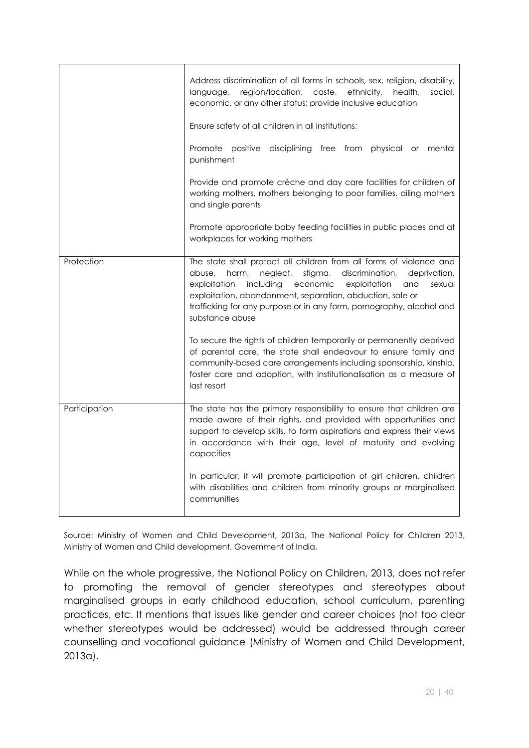|               | Address discrimination of all forms in schools, sex, religion, disability,<br>language, region/location, caste, ethnicity,<br>social,<br>health,<br>economic, or any other status; provide inclusive education<br>Ensure safety of all children in all institutions;<br>Promote positive disciplining free from physical or<br>mental                                              |  |  |  |  |  |
|---------------|------------------------------------------------------------------------------------------------------------------------------------------------------------------------------------------------------------------------------------------------------------------------------------------------------------------------------------------------------------------------------------|--|--|--|--|--|
|               | punishment<br>Provide and promote crèche and day care facilities for children of<br>working mothers, mothers belonging to poor families, ailing mothers<br>and single parents                                                                                                                                                                                                      |  |  |  |  |  |
|               | Promote appropriate baby feeding facilities in public places and at<br>workplaces for working mothers                                                                                                                                                                                                                                                                              |  |  |  |  |  |
| Protection    | The state shall protect all children from all forms of violence and<br>stigma,<br>discrimination,<br>deprivation,<br>abuse,<br>harm,<br>neglect,<br>exploitation<br>including<br>economic<br>exploitation<br>and<br>sexual<br>exploitation, abandonment, separation, abduction, sale or<br>trafficking for any purpose or in any form, pornography, alcohol and<br>substance abuse |  |  |  |  |  |
|               | To secure the rights of children temporarily or permanently deprived<br>of parental care, the state shall endeavour to ensure family and<br>community-based care arrangements including sponsorship, kinship,<br>foster care and adoption, with institutionalisation as a measure of<br>last resort                                                                                |  |  |  |  |  |
| Participation | The state has the primary responsibility to ensure that children are<br>made aware of their rights, and provided with opportunities and<br>support to develop skills, to form aspirations and express their views<br>in accordance with their age, level of maturity and evolving<br>capacities                                                                                    |  |  |  |  |  |
|               | In particular, it will promote participation of girl children, children<br>with disabilities and children from minority groups or marginalised<br>communities                                                                                                                                                                                                                      |  |  |  |  |  |

Source: Ministry of Women and Child Development, 2013a, The National Policy for Children 2013, Ministry of Women and Child development, Government of India,

While on the whole progressive, the National Policy on Children, 2013, does not refer to promoting the removal of gender stereotypes and stereotypes about marginalised groups in early childhood education, school curriculum, parenting practices, etc. It mentions that issues like gender and career choices (not too clear whether stereotypes would be addressed) would be addressed through career counselling and vocational guidance (Ministry of Women and Child Development, 2013a).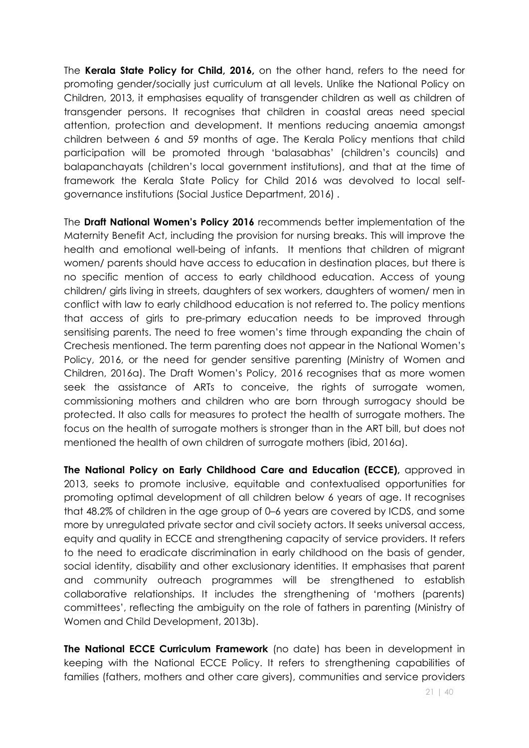The **Kerala State Policy for Child, 2016,** on the other hand, refers to the need for promoting gender/socially just curriculum at all levels. Unlike the National Policy on Children, 2013, it emphasises equality of transgender children as well as children of transgender persons. It recognises that children in coastal areas need special attention, protection and development. It mentions reducing anaemia amongst children between 6 and 59 months of age. The Kerala Policy mentions that child participation will be promoted through 'balasabhas' (children's councils) and balapanchayats (children's local government institutions), and that at the time of framework the Kerala State Policy for Child 2016 was devolved to local selfgovernance institutions (Social Justice Department, 2016) .

The **Draft National Women's Policy 2016** recommends better implementation of the Maternity Benefit Act, including the provision for nursing breaks. This will improve the health and emotional well-being of infants. It mentions that children of migrant women/ parents should have access to education in destination places, but there is no specific mention of access to early childhood education. Access of young children/ girls living in streets, daughters of sex workers, daughters of women/ men in conflict with law to early childhood education is not referred to. The policy mentions that access of girls to pre-primary education needs to be improved through sensitising parents. The need to free women's time through expanding the chain of Crechesis mentioned. The term parenting does not appear in the National Women's Policy, 2016, or the need for gender sensitive parenting (Ministry of Women and Children, 2016a). The Draft Women's Policy, 2016 recognises that as more women seek the assistance of ARTs to conceive, the rights of surrogate women, commissioning mothers and children who are born through surrogacy should be protected. It also calls for measures to protect the health of surrogate mothers. The focus on the health of surrogate mothers is stronger than in the ART bill, but does not mentioned the health of own children of surrogate mothers (ibid, 2016a).

**The National Policy on Early Childhood Care and Education (ECCE),** approved in 2013, seeks to promote inclusive, equitable and contextualised opportunities for promoting optimal development of all children below 6 years of age. It recognises that 48.2% of children in the age group of 0–6 years are covered by ICDS, and some more by unregulated private sector and civil society actors. It seeks universal access, equity and quality in ECCE and strengthening capacity of service providers. It refers to the need to eradicate discrimination in early childhood on the basis of gender, social identity, disability and other exclusionary identities. It emphasises that parent and community outreach programmes will be strengthened to establish collaborative relationships. It includes the strengthening of 'mothers (parents) committees', reflecting the ambiguity on the role of fathers in parenting (Ministry of Women and Child Development, 2013b).

**The National ECCE Curriculum Framework** (no date) has been in development in keeping with the National ECCE Policy. It refers to strengthening capabilities of families (fathers, mothers and other care givers), communities and service providers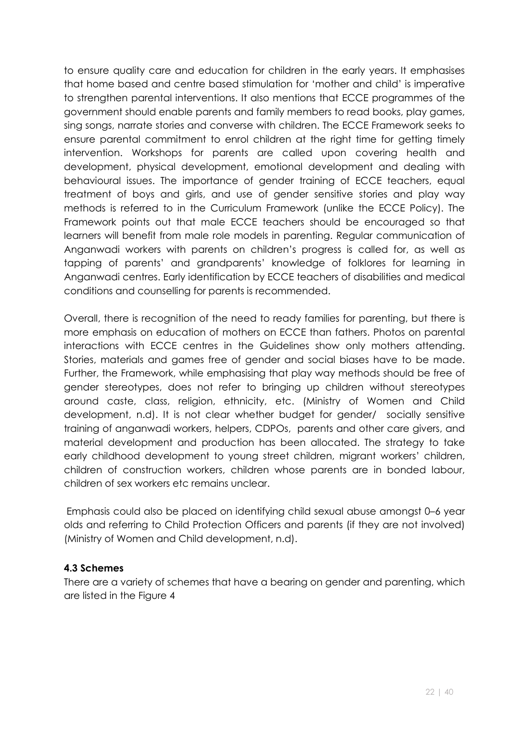to ensure quality care and education for children in the early years. It emphasises that home based and centre based stimulation for 'mother and child' is imperative to strengthen parental interventions. It also mentions that ECCE programmes of the government should enable parents and family members to read books, play games, sing songs, narrate stories and converse with children. The ECCE Framework seeks to ensure parental commitment to enrol children at the right time for getting timely intervention. Workshops for parents are called upon covering health and development, physical development, emotional development and dealing with behavioural issues. The importance of gender training of ECCE teachers, equal treatment of boys and girls, and use of gender sensitive stories and play way methods is referred to in the Curriculum Framework (unlike the ECCE Policy). The Framework points out that male ECCE teachers should be encouraged so that learners will benefit from male role models in parenting. Regular communication of Anganwadi workers with parents on children's progress is called for, as well as tapping of parents' and grandparents' knowledge of folklores for learning in Anganwadi centres. Early identification by ECCE teachers of disabilities and medical conditions and counselling for parents is recommended.

Overall, there is recognition of the need to ready families for parenting, but there is more emphasis on education of mothers on ECCE than fathers. Photos on parental interactions with ECCE centres in the Guidelines show only mothers attending. Stories, materials and games free of gender and social biases have to be made. Further, the Framework, while emphasising that play way methods should be free of gender stereotypes, does not refer to bringing up children without stereotypes around caste, class, religion, ethnicity, etc. (Ministry of Women and Child development, n.d). It is not clear whether budget for gender/ socially sensitive training of anganwadi workers, helpers, CDPOs, parents and other care givers, and material development and production has been allocated. The strategy to take early childhood development to young street children, migrant workers' children, children of construction workers, children whose parents are in bonded labour, children of sex workers etc remains unclear.

Emphasis could also be placed on identifying child sexual abuse amongst 0–6 year olds and referring to Child Protection Officers and parents (if they are not involved) (Ministry of Women and Child development, n.d).

## **4.3 Schemes**

There are a variety of schemes that have a bearing on gender and parenting, which are listed in the Figure 4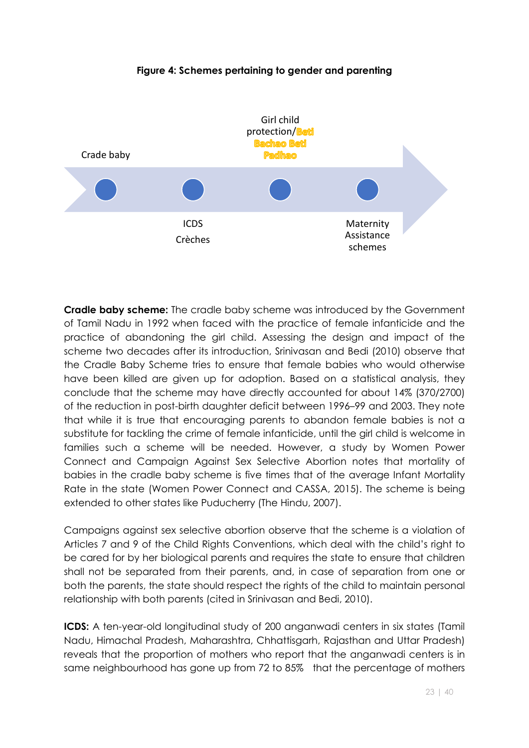

#### **Figure 4: Schemes pertaining to gender and parenting**

**Cradle baby scheme:** The cradle baby scheme was introduced by the Government of Tamil Nadu in 1992 when faced with the practice of female infanticide and the practice of abandoning the girl child. Assessing the design and impact of the scheme two decades after its introduction, Srinivasan and Bedi (2010) observe that the Cradle Baby Scheme tries to ensure that female babies who would otherwise have been killed are given up for adoption. Based on a statistical analysis, they conclude that the scheme may have directly accounted for about 14% (370/2700) of the reduction in post-birth daughter deficit between 1996–99 and 2003. They note that while it is true that encouraging parents to abandon female babies is not a substitute for tackling the crime of female infanticide, until the girl child is welcome in families such a scheme will be needed. However, a study by Women Power Connect and Campaign Against Sex Selective Abortion notes that mortality of babies in the cradle baby scheme is five times that of the average Infant Mortality Rate in the state (Women Power Connect and CASSA, 2015). The scheme is being extended to other states like Puducherry (The Hindu, 2007).

Campaigns against sex selective abortion observe that the scheme is a violation of Articles 7 and 9 of the Child Rights Conventions, which deal with the child's right to be cared for by her biological parents and requires the state to ensure that children shall not be separated from their parents, and, in case of separation from one or both the parents, the state should respect the rights of the child to maintain personal relationship with both parents (cited in Srinivasan and Bedi, 2010).

**ICDS:** A ten-year-old longitudinal study of 200 anganwadi centers in six states (Tamil Nadu, Himachal Pradesh, Maharashtra, Chhattisgarh, Rajasthan and Uttar Pradesh) reveals that the proportion of mothers who report that the anganwadi centers is in same neighbourhood has gone up from 72 to 85% that the percentage of mothers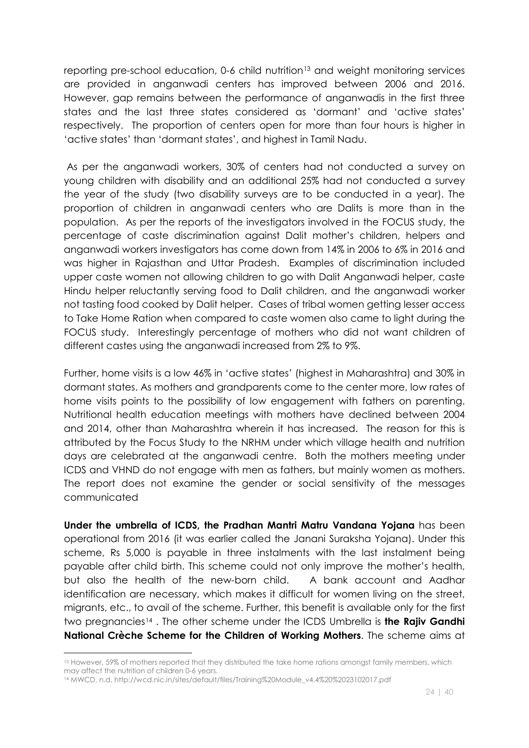reporting pre-school education, 0-6 child nutrition<sup>13</sup> and weight monitoring services are provided in anganwadi centers has improved between 2006 and 2016. However, gap remains between the performance of anganwadis in the first three states and the last three states considered as 'dormant' and 'active states' respectively. The proportion of centers open for more than four hours is higher in 'active states' than 'dormant states', and highest in Tamil Nadu.

As per the anganwadi workers, 30% of centers had not conducted a survey on young children with disability and an additional 25% had not conducted a survey the year of the study (two disability surveys are to be conducted in a year). The proportion of children in anganwadi centers who are Dalits is more than in the population. As per the reports of the investigators involved in the FOCUS study, the percentage of caste discrimination against Dalit mother's children, helpers and anganwadi workers investigators has come down from 14% in 2006 to 6% in 2016 and was higher in Rajasthan and Uttar Pradesh. Examples of discrimination included upper caste women not allowing children to go with Dalit Anganwadi helper, caste Hindu helper reluctantly serving food to Dalit children, and the anganwadi worker not tasting food cooked by Dalit helper. Cases of tribal women getting lesser access to Take Home Ration when compared to caste women also came to light during the FOCUS study. Interestingly percentage of mothers who did not want children of different castes using the anganwadi increased from 2% to 9%.

Further, home visits is a low 46% in 'active states' (highest in Maharashtra) and 30% in dormant states. As mothers and grandparents come to the center more, low rates of home visits points to the possibility of low engagement with fathers on parenting. Nutritional health education meetings with mothers have declined between 2004 and 2014, other than Maharashtra wherein it has increased. The reason for this is attributed by the Focus Study to the NRHM under which village health and nutrition days are celebrated at the anganwadi centre. Both the mothers meeting under ICDS and VHND do not engage with men as fathers, but mainly women as mothers. The report does not examine the gender or social sensitivity of the messages communicated

**Under the umbrella of ICDS, the Pradhan Mantri Matru Vandana Yojana** has been operational from 2016 (it was earlier called the Janani Suraksha Yojana). Under this scheme, Rs 5,000 is payable in three instalments with the last instalment being payable after child birth. This scheme could not only improve the mother's health, but also the health of the new-born child. A bank account and Aadhar identification are necessary, which makes it difficult for women living on the street, migrants, etc., to avail of the scheme. Further, this benefit is available only for the first two pregnancies14 . The other scheme under the ICDS Umbrella is **the Rajiv Gandhi National Crèche Scheme for the Children of Working Mothers**. The scheme aims at

 $\overline{a}$ 

<sup>13</sup> However, 59% of mothers reported that they distributed the take home rations amongst family members, which may affect the nutrition of children 0-6 years.

<sup>14</sup> MWCD, n.d, http://wcd.nic.in/sites/default/files/Training%20Module\_v4.4%20%2023102017.pdf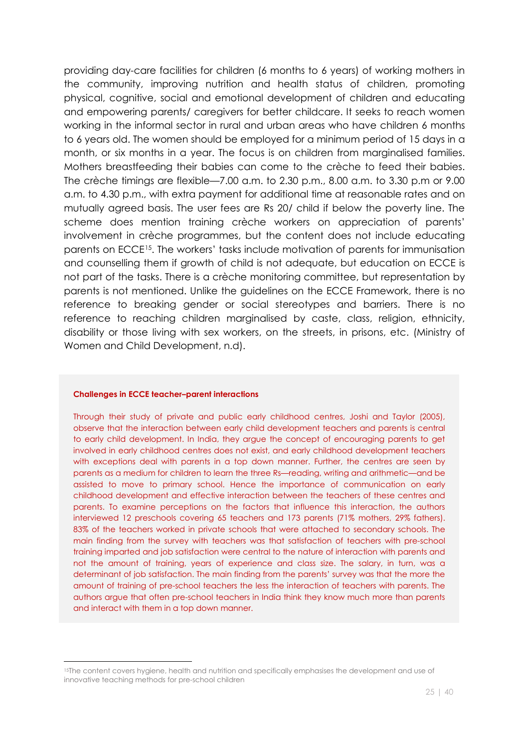providing day-care facilities for children (6 months to 6 years) of working mothers in the community, improving nutrition and health status of children, promoting physical, cognitive, social and emotional development of children and educating and empowering parents/ caregivers for better childcare. It seeks to reach women working in the informal sector in rural and urban areas who have children 6 months to 6 years old. The women should be employed for a minimum period of 15 days in a month, or six months in a year. The focus is on children from marginalised families. Mothers breastfeeding their babies can come to the crèche to feed their babies. The crèche timings are flexible—7.00 a.m. to 2.30 p.m., 8.00 a.m. to 3.30 p.m or 9.00 a.m. to 4.30 p.m., with extra payment for additional time at reasonable rates and on mutually agreed basis. The user fees are Rs 20/ child if below the poverty line. The scheme does mention training crèche workers on appreciation of parents' involvement in crèche programmes, but the content does not include educating parents on ECCE15. The workers' tasks include motivation of parents for immunisation and counselling them if growth of child is not adequate, but education on ECCE is not part of the tasks. There is a crèche monitoring committee, but representation by parents is not mentioned. Unlike the guidelines on the ECCE Framework, there is no reference to breaking gender or social stereotypes and barriers. There is no reference to reaching children marginalised by caste, class, religion, ethnicity, disability or those living with sex workers, on the streets, in prisons, etc. (Ministry of Women and Child Development, n.d).

#### **Challenges in ECCE teacher–parent interactions**

<u>.</u>

Through their study of private and public early childhood centres, Joshi and Taylor (2005), observe that the interaction between early child development teachers and parents is central to early child development. In India, they argue the concept of encouraging parents to get involved in early childhood centres does not exist, and early childhood development teachers with exceptions deal with parents in a top down manner. Further, the centres are seen by parents as a medium for children to learn the three Rs—reading, writing and arithmetic—and be assisted to move to primary school. Hence the importance of communication on early childhood development and effective interaction between the teachers of these centres and parents. To examine perceptions on the factors that influence this interaction, the authors interviewed 12 preschools covering 65 teachers and 173 parents (71% mothers, 29% fathers). 83% of the teachers worked in private schools that were attached to secondary schools. The main finding from the survey with teachers was that satisfaction of teachers with pre-school training imparted and job satisfaction were central to the nature of interaction with parents and not the amount of training, years of experience and class size. The salary, in turn, was a determinant of job satisfaction. The main finding from the parents' survey was that the more the amount of training of pre-school teachers the less the interaction of teachers with parents. The authors argue that often pre-school teachers in India think they know much more than parents and interact with them in a top down manner.

<sup>&</sup>lt;sup>15</sup>The content covers hygiene, health and nutrition and specifically emphasises the development and use of innovative teaching methods for pre-school children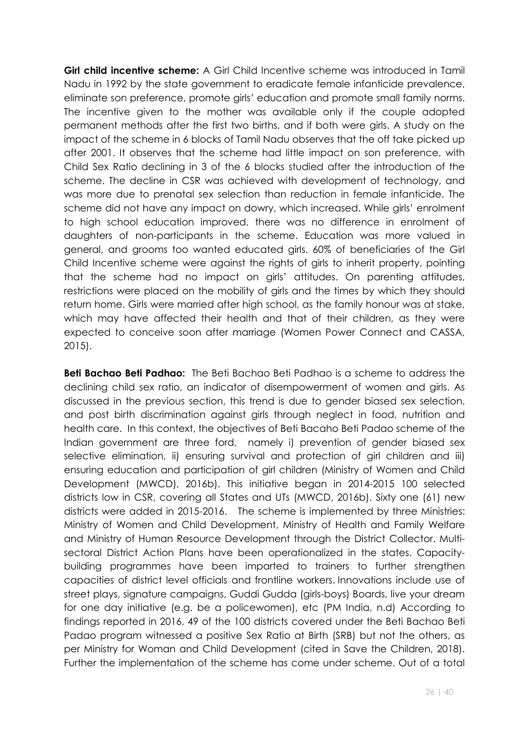**Girl child incentive scheme:** A Girl Child Incentive scheme was introduced in Tamil Nadu in 1992 by the state government to eradicate female infanticide prevalence, eliminate son preference, promote girls' education and promote small family norms. The incentive given to the mother was available only if the couple adopted permanent methods after the first two births, and if both were girls. A study on the impact of the scheme in 6 blocks of Tamil Nadu observes that the off take picked up after 2001. It observes that the scheme had little impact on son preference, with Child Sex Ratio declining in 3 of the 6 blocks studied after the introduction of the scheme. The decline in CSR was achieved with development of technology, and was more due to prenatal sex selection than reduction in female infanticide. The scheme did not have any impact on dowry, which increased. While girls' enrolment to high school education improved, there was no difference in enrolment of daughters of non-participants in the scheme. Education was more valued in general, and grooms too wanted educated girls. 60% of beneficiaries of the Girl Child Incentive scheme were against the rights of girls to inherit property, pointing that the scheme had no impact on girls' attitudes. On parenting attitudes, restrictions were placed on the mobility of girls and the times by which they should return home. Girls were married after high school, as the family honour was at stake, which may have affected their health and that of their children, as they were expected to conceive soon after marriage (Women Power Connect and CASSA, 2015).

**Beti Bachao Beti Padhao:** The Beti Bachao Beti Padhao is a scheme to address the declining child sex ratio, an indicator of disempowerment of women and girls. As discussed in the previous section, this trend is due to gender biased sex selection, and post birth discrimination against girls through neglect in food, nutrition and health care. In this context, the objectives of Beti Bacaho Beti Padao scheme of the Indian government are three ford, namely i) prevention of gender biased sex selective elimination, ii) ensuring survival and protection of girl children and iii) ensuring education and participation of girl children (Ministry of Women and Child Development (MWCD), 2016b). This initiative began in 2014-2015 100 selected districts low in CSR, covering all States and UTs (MWCD, 2016b). Sixty one (61) new districts were added in 2015-2016. The scheme is implemented by three Ministries: Ministry of Women and Child Development, Ministry of Health and Family Welfare and Ministry of Human Resource Development through the District Collector. Multisectoral District Action Plans have been operationalized in the states. Capacitybuilding programmes have been imparted to trainers to further strengthen capacities of district level officials and frontline workers. Innovations include use of street plays, signature campaigns, Guddi Gudda (girls-boys) Boards, live your dream for one day initiative (e.g. be a policewomen), etc (PM India, n.d) According to findings reported in 2016, 49 of the 100 districts covered under the Beti Bachao Beti Padao program witnessed a positive Sex Ratio at Birth (SRB) but not the others, as per Ministry for Woman and Child Development (cited in Save the Children, 2018). Further the implementation of the scheme has come under scheme. Out of a total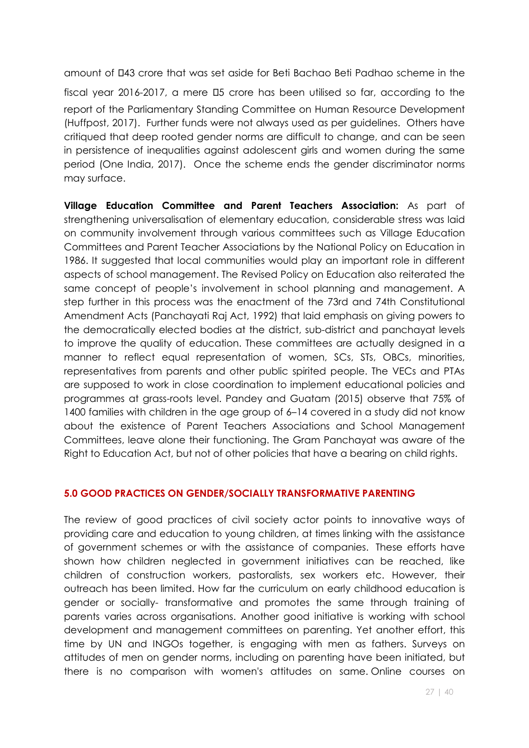amount of 43 crore that was set aside for Beti Bachao Beti Padhao scheme in the fiscal year 2016-2017, a mere 0.5 crore has been utilised so far, according to the report of the Parliamentary Standing Committee on Human Resource Development (Huffpost, 2017). Further funds were not always used as per guidelines. Others have critiqued that deep rooted gender norms are difficult to change, and can be seen in persistence of inequalities against adolescent girls and women during the same period (One India, 2017). Once the scheme ends the gender discriminator norms may surface.

**Village Education Committee and Parent Teachers Association:** As part of strengthening universalisation of elementary education, considerable stress was laid on community involvement through various committees such as Village Education Committees and Parent Teacher Associations by the National Policy on Education in 1986. It suggested that local communities would play an important role in different aspects of school management. The Revised Policy on Education also reiterated the same concept of people's involvement in school planning and management. A step further in this process was the enactment of the 73rd and 74th Constitutional Amendment Acts (Panchayati Raj Act, 1992) that laid emphasis on giving powers to the democratically elected bodies at the district, sub-district and panchayat levels to improve the quality of education. These committees are actually designed in a manner to reflect equal representation of women, SCs, STs, OBCs, minorities, representatives from parents and other public spirited people. The VECs and PTAs are supposed to work in close coordination to implement educational policies and programmes at grass-roots level. Pandey and Guatam (2015) observe that 75% of 1400 families with children in the age group of 6–14 covered in a study did not know about the existence of Parent Teachers Associations and School Management Committees, leave alone their functioning. The Gram Panchayat was aware of the Right to Education Act, but not of other policies that have a bearing on child rights.

#### **5.0 GOOD PRACTICES ON GENDER/SOCIALLY TRANSFORMATIVE PARENTING**

The review of good practices of civil society actor points to innovative ways of providing care and education to young children, at times linking with the assistance of government schemes or with the assistance of companies. These efforts have shown how children neglected in government initiatives can be reached, like children of construction workers, pastoralists, sex workers etc. However, their outreach has been limited. How far the curriculum on early childhood education is gender or socially- transformative and promotes the same through training of parents varies across organisations. Another good initiative is working with school development and management committees on parenting. Yet another effort, this time by UN and INGOs together, is engaging with men as fathers. Surveys on attitudes of men on gender norms, including on parenting have been initiated, but there is no comparison with women's attitudes on same. Online courses on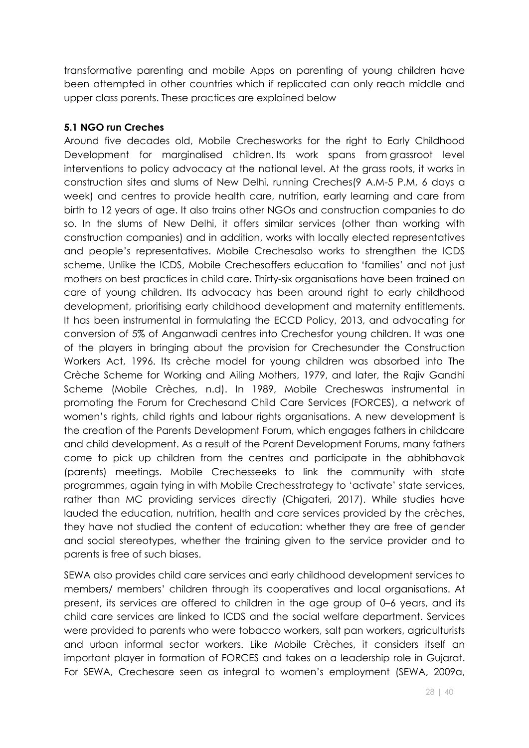transformative parenting and mobile Apps on parenting of young children have been attempted in other countries which if replicated can only reach middle and upper class parents. These practices are explained below

#### **5.1 NGO run Creches**

Around five decades old, Mobile Crechesworks for the right to Early Childhood Development for marginalised children. Its work spans from grassroot level interventions to policy advocacy at the national level. At the grass roots, it works in construction sites and slums of New Delhi, running Creches(9 A.M-5 P.M, 6 days a week) and centres to provide health care, nutrition, early learning and care from birth to 12 years of age. It also trains other NGOs and construction companies to do so. In the slums of New Delhi, it offers similar services (other than working with construction companies) and in addition, works with locally elected representatives and people's representatives. Mobile Crechesalso works to strengthen the ICDS scheme. Unlike the ICDS, Mobile Crechesoffers education to 'families' and not just mothers on best practices in child care. Thirty-six organisations have been trained on care of young children. Its advocacy has been around right to early childhood development, prioritising early childhood development and maternity entitlements. It has been instrumental in formulating the ECCD Policy, 2013, and advocating for conversion of 5% of Anganwadi centres into Crechesfor young children. It was one of the players in bringing about the provision for Crechesunder the Construction Workers Act, 1996. Its crèche model for young children was absorbed into The Crèche Scheme for Working and Ailing Mothers, 1979, and later, the Rajiv Gandhi Scheme (Mobile Crèches, n.d). In 1989, Mobile Crecheswas instrumental in promoting the Forum for Crechesand Child Care Services (FORCES), a network of women's rights, child rights and labour rights organisations. A new development is the creation of the Parents Development Forum, which engages fathers in childcare and child development. As a result of the Parent Development Forums, many fathers come to pick up children from the centres and participate in the abhibhavak (parents) meetings. Mobile Crechesseeks to link the community with state programmes, again tying in with Mobile Crechesstrategy to 'activate' state services, rather than MC providing services directly (Chigateri, 2017). While studies have lauded the education, nutrition, health and care services provided by the crèches, they have not studied the content of education: whether they are free of gender and social stereotypes, whether the training given to the service provider and to parents is free of such biases.

SEWA also provides child care services and early childhood development services to members/ members' children through its cooperatives and local organisations. At present, its services are offered to children in the age group of 0–6 years, and its child care services are linked to ICDS and the social welfare department. Services were provided to parents who were tobacco workers, salt pan workers, agriculturists and urban informal sector workers. Like Mobile Crèches, it considers itself an important player in formation of FORCES and takes on a leadership role in Gujarat. For SEWA, Crechesare seen as integral to women's employment (SEWA, 2009a,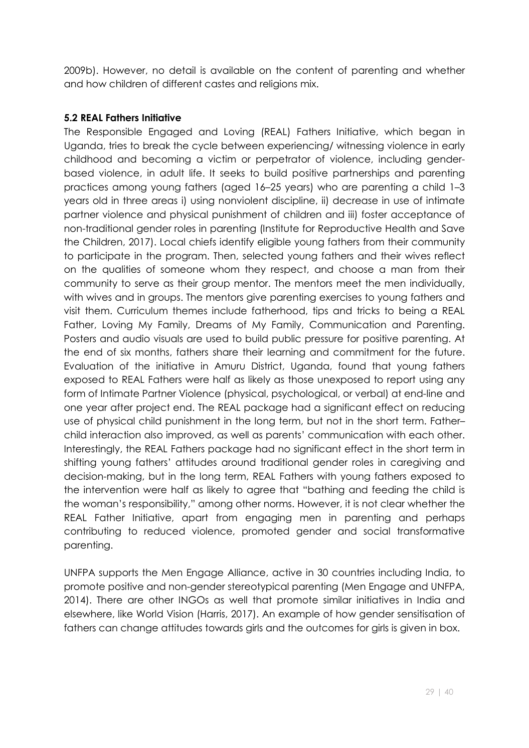2009b). However, no detail is available on the content of parenting and whether and how children of different castes and religions mix.

#### **5.2 REAL Fathers Initiative**

The Responsible Engaged and Loving (REAL) Fathers Initiative, which began in Uganda, tries to break the cycle between experiencing/ witnessing violence in early childhood and becoming a victim or perpetrator of violence, including genderbased violence, in adult life. It seeks to build positive partnerships and parenting practices among young fathers (aged 16–25 years) who are parenting a child 1–3 years old in three areas i) using nonviolent discipline, ii) decrease in use of intimate partner violence and physical punishment of children and iii) foster acceptance of non-traditional gender roles in parenting (Institute for Reproductive Health and Save the Children, 2017). Local chiefs identify eligible young fathers from their community to participate in the program. Then, selected young fathers and their wives reflect on the qualities of someone whom they respect, and choose a man from their community to serve as their group mentor. The mentors meet the men individually, with wives and in groups. The mentors give parenting exercises to young fathers and visit them. Curriculum themes include fatherhood, tips and tricks to being a REAL Father, Loving My Family, Dreams of My Family, Communication and Parenting. Posters and audio visuals are used to build public pressure for positive parenting. At the end of six months, fathers share their learning and commitment for the future. Evaluation of the initiative in Amuru District, Uganda, found that young fathers exposed to REAL Fathers were half as likely as those unexposed to report using any form of Intimate Partner Violence (physical, psychological, or verbal) at end-line and one year after project end. The REAL package had a significant effect on reducing use of physical child punishment in the long term, but not in the short term. Father– child interaction also improved, as well as parents' communication with each other. Interestingly, the REAL Fathers package had no significant effect in the short term in shifting young fathers' attitudes around traditional gender roles in caregiving and decision-making, but in the long term, REAL Fathers with young fathers exposed to the intervention were half as likely to agree that "bathing and feeding the child is the woman's responsibility," among other norms. However, it is not clear whether the REAL Father Initiative, apart from engaging men in parenting and perhaps contributing to reduced violence, promoted gender and social transformative parenting.

UNFPA supports the Men Engage Alliance, active in 30 countries including India, to promote positive and non-gender stereotypical parenting (Men Engage and UNFPA, 2014). There are other INGOs as well that promote similar initiatives in India and elsewhere, like World Vision (Harris, 2017). An example of how gender sensitisation of fathers can change attitudes towards girls and the outcomes for girls is given in box.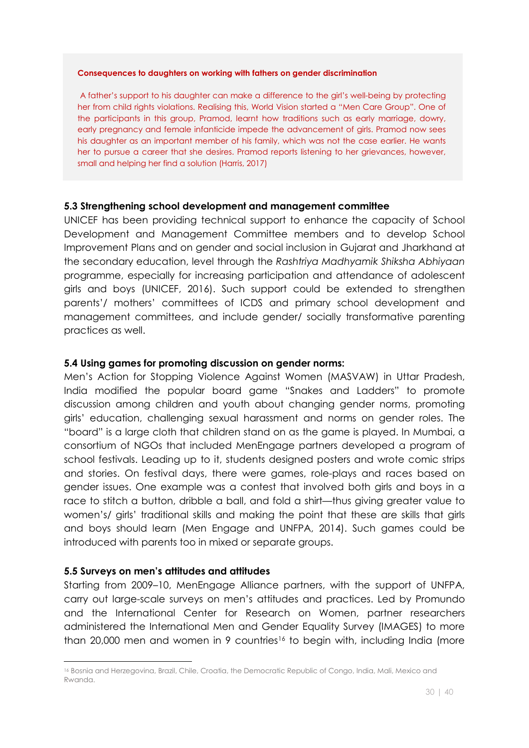#### **Consequences to daughters on working with fathers on gender discrimination**

A father's support to his daughter can make a difference to the girl's well-being by protecting her from child rights violations. Realising this, World Vision started a "Men Care Group". One of the participants in this group, Pramod, learnt how traditions such as early marriage, dowry, early pregnancy and female infanticide impede the advancement of girls. Pramod now sees his daughter as an important member of his family, which was not the case earlier. He wants her to pursue a career that she desires. Pramod reports listening to her grievances, however, small and helping her find a solution (Harris, 2017)

#### **5.3 Strengthening school development and management committee**

UNICEF has been providing technical support to enhance the capacity of School Development and Management Committee members and to develop School Improvement Plans and on gender and social inclusion in Gujarat and Jharkhand at the secondary education, level through the *Rashtriya Madhyamik Shiksha Abhiyaan*  programme, especially for increasing participation and attendance of adolescent girls and boys (UNICEF, 2016). Such support could be extended to strengthen parents'/ mothers' committees of ICDS and primary school development and management committees, and include gender/ socially transformative parenting practices as well.

#### **5.4 Using games for promoting discussion on gender norms:**

Men's Action for Stopping Violence Against Women (MASVAW) in Uttar Pradesh, India modified the popular board game "Snakes and Ladders" to promote discussion among children and youth about changing gender norms, promoting girls' education, challenging sexual harassment and norms on gender roles. The "board" is a large cloth that children stand on as the game is played. In Mumbai, a consortium of NGOs that included MenEngage partners developed a program of school festivals. Leading up to it, students designed posters and wrote comic strips and stories. On festival days, there were games, role-plays and races based on gender issues. One example was a contest that involved both girls and boys in a race to stitch a button, dribble a ball, and fold a shirt—thus giving greater value to women's/ girls' traditional skills and making the point that these are skills that girls and boys should learn (Men Engage and UNFPA, 2014). Such games could be introduced with parents too in mixed or separate groups.

#### **5.5 Surveys on men's attitudes and attitudes**

Starting from 2009–10, MenEngage Alliance partners, with the support of UNFPA, carry out large-scale surveys on men's attitudes and practices. Led by Promundo and the International Center for Research on Women, partner researchers administered the International Men and Gender Equality Survey (IMAGES) to more than 20,000 men and women in 9 countries<sup>16</sup> to begin with, including India (more

<sup>&</sup>lt;u>.</u> <sup>16</sup> Bosnia and Herzegovina, Brazil, Chile, Croatia, the Democratic Republic of Congo, India, Mali, Mexico and Rwanda.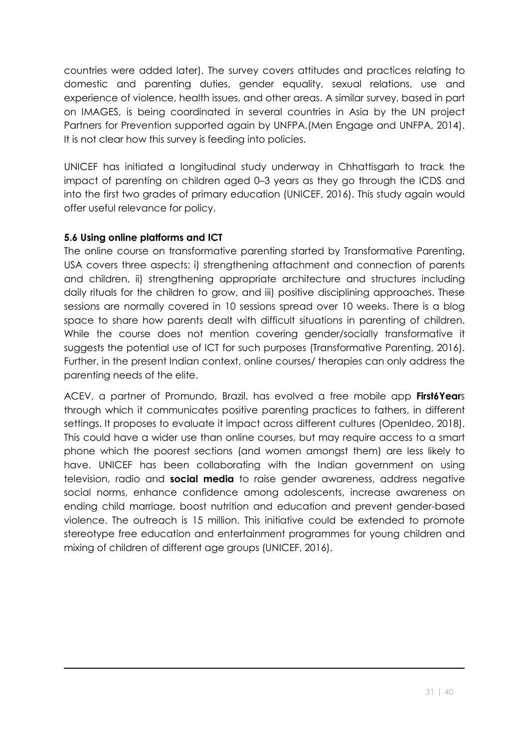countries were added later). The survey covers attitudes and practices relating to domestic and parenting duties, gender equality, sexual relations, use and experience of violence, health issues, and other areas. A similar survey, based in part on IMAGES, is being coordinated in several countries in Asia by the UN project Partners for Prevention supported again by UNFPA.(Men Engage and UNFPA, 2014). It is not clear how this survey is feeding into policies.

UNICEF has initiated a longitudinal study underway in Chhattisgarh to track the impact of parenting on children aged 0–3 years as they go through the ICDS and into the first two grades of primary education (UNICEF, 2016). This study again would offer useful relevance for policy.

## **5.6 Using online platforms and ICT**

<u>.</u>

The online course on transformative parenting started by Transformative Parenting, USA covers three aspects: i) strengthening attachment and connection of parents and children, ii) strengthening appropriate architecture and structures including daily rituals for the children to grow, and iii) positive disciplining approaches. These sessions are normally covered in 10 sessions spread over 10 weeks. There is a blog space to share how parents dealt with difficult situations in parenting of children. While the course does not mention covering gender/socially transformative it suggests the potential use of ICT for such purposes (Transformative Parenting, 2016). Further, in the present Indian context, online courses/ therapies can only address the parenting needs of the elite.

ACEV, a partner of Promundo, Brazil, has evolved a free mobile app **First6Year**s through which it communicates positive parenting practices to fathers, in different settings. It proposes to evaluate it impact across different cultures (OpenIdeo, 2018). This could have a wider use than online courses, but may require access to a smart phone which the poorest sections (and women amongst them) are less likely to have. UNICEF has been collaborating with the Indian government on using television, radio and **social media** to raise gender awareness, address negative social norms, enhance confidence among adolescents, increase awareness on ending child marriage, boost nutrition and education and prevent gender-based violence. The outreach is 15 million. This initiative could be extended to promote stereotype free education and entertainment programmes for young children and mixing of children of different age groups (UNICEF, 2016).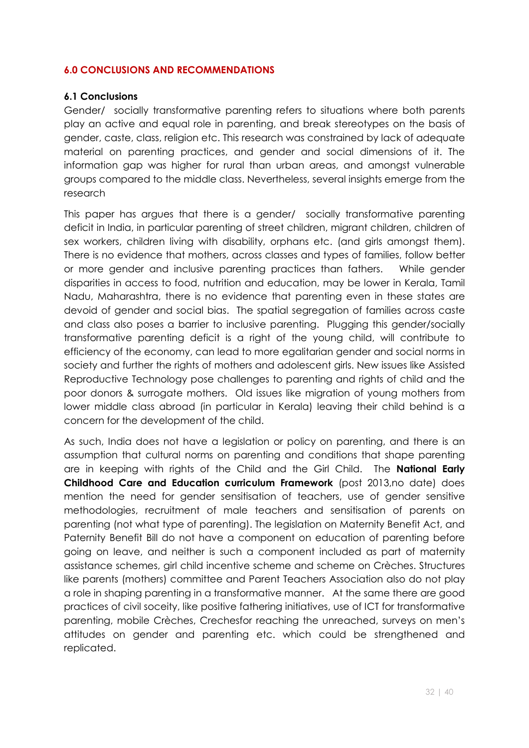#### **6.0 CONCLUSIONS AND RECOMMENDATIONS**

#### **6.1 Conclusions**

Gender/ socially transformative parenting refers to situations where both parents play an active and equal role in parenting, and break stereotypes on the basis of gender, caste, class, religion etc. This research was constrained by lack of adequate material on parenting practices, and gender and social dimensions of it. The information gap was higher for rural than urban areas, and amongst vulnerable groups compared to the middle class. Nevertheless, several insights emerge from the research

This paper has argues that there is a gender/ socially transformative parenting deficit in India, in particular parenting of street children, migrant children, children of sex workers, children living with disability, orphans etc. (and girls amongst them). There is no evidence that mothers, across classes and types of families, follow better or more gender and inclusive parenting practices than fathers. While gender disparities in access to food, nutrition and education, may be lower in Kerala, Tamil Nadu, Maharashtra, there is no evidence that parenting even in these states are devoid of gender and social bias. The spatial segregation of families across caste and class also poses a barrier to inclusive parenting. Plugging this gender/socially transformative parenting deficit is a right of the young child, will contribute to efficiency of the economy, can lead to more egalitarian gender and social norms in society and further the rights of mothers and adolescent girls. New issues like Assisted Reproductive Technology pose challenges to parenting and rights of child and the poor donors & surrogate mothers. Old issues like migration of young mothers from lower middle class abroad (in particular in Kerala) leaving their child behind is a concern for the development of the child.

As such, India does not have a legislation or policy on parenting, and there is an assumption that cultural norms on parenting and conditions that shape parenting are in keeping with rights of the Child and the Girl Child. The **National Early Childhood Care and Education curriculum Framework** (post 2013,no date) does mention the need for gender sensitisation of teachers, use of gender sensitive methodologies, recruitment of male teachers and sensitisation of parents on parenting (not what type of parenting). The legislation on Maternity Benefit Act, and Paternity Benefit Bill do not have a component on education of parenting before going on leave, and neither is such a component included as part of maternity assistance schemes, girl child incentive scheme and scheme on Crèches. Structures like parents (mothers) committee and Parent Teachers Association also do not play a role in shaping parenting in a transformative manner. At the same there are good practices of civil soceity, like positive fathering initiatives, use of ICT for transformative parenting, mobile Crèches, Crechesfor reaching the unreached, surveys on men's attitudes on gender and parenting etc. which could be strengthened and replicated.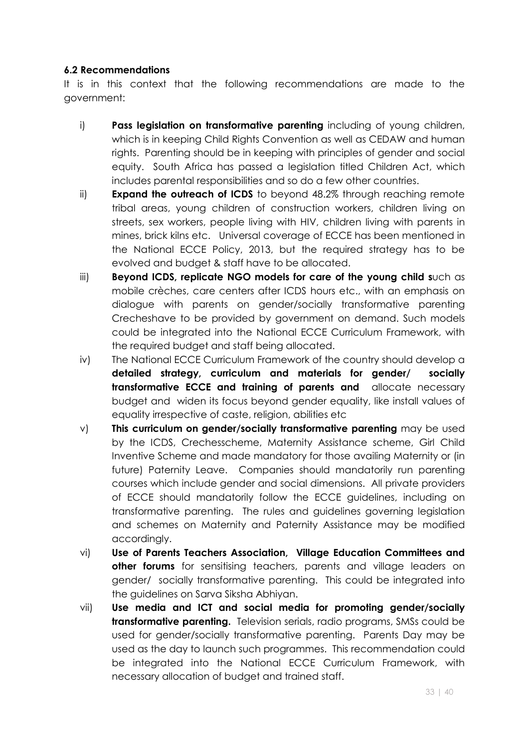#### **6.2 Recommendations**

It is in this context that the following recommendations are made to the government:

- i) **Pass legislation on transformative parenting** including of young children, which is in keeping Child Rights Convention as well as CEDAW and human rights. Parenting should be in keeping with principles of gender and social equity. South Africa has passed a legislation titled Children Act, which includes parental responsibilities and so do a few other countries.
- ii) **Expand the outreach of ICDS** to beyond 48.2% through reaching remote tribal areas, young children of construction workers, children living on streets, sex workers, people living with HIV, children living with parents in mines, brick kilns etc. Universal coverage of ECCE has been mentioned in the National ECCE Policy, 2013, but the required strategy has to be evolved and budget & staff have to be allocated.
- iii) **Beyond ICDS, replicate NGO models for care of the young child s**uch as mobile crèches, care centers after ICDS hours etc., with an emphasis on dialogue with parents on gender/socially transformative parenting Crecheshave to be provided by government on demand. Such models could be integrated into the National ECCE Curriculum Framework, with the required budget and staff being allocated.
- iv) The National ECCE Curriculum Framework of the country should develop a **detailed strategy, curriculum and materials for gender/ socially transformative ECCE and training of parents and** allocate necessary budget and widen its focus beyond gender equality, like install values of equality irrespective of caste, religion, abilities etc
- v) **This curriculum on gender/socially transformative parenting** may be used by the ICDS, Crechesscheme, Maternity Assistance scheme, Girl Child Inventive Scheme and made mandatory for those availing Maternity or (in future) Paternity Leave. Companies should mandatorily run parenting courses which include gender and social dimensions. All private providers of ECCE should mandatorily follow the ECCE guidelines, including on transformative parenting. The rules and guidelines governing legislation and schemes on Maternity and Paternity Assistance may be modified accordingly.
- vi) **Use of Parents Teachers Association, Village Education Committees and other forums** for sensitising teachers, parents and village leaders on gender/ socially transformative parenting. This could be integrated into the guidelines on Sarva Siksha Abhiyan.
- vii) **Use media and ICT and social media for promoting gender/socially transformative parenting.** Television serials, radio programs, SMSs could be used for gender/socially transformative parenting. Parents Day may be used as the day to launch such programmes. This recommendation could be integrated into the National ECCE Curriculum Framework, with necessary allocation of budget and trained staff.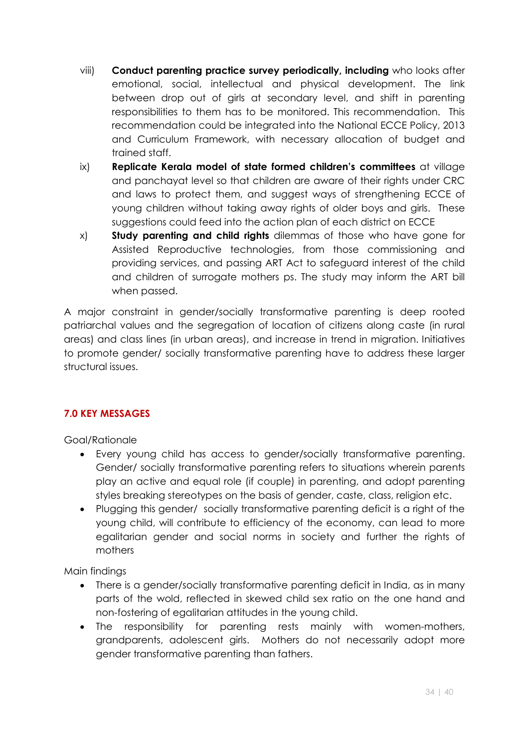- viii) **Conduct parenting practice survey periodically, including** who looks after emotional, social, intellectual and physical development. The link between drop out of girls at secondary level, and shift in parenting responsibilities to them has to be monitored. This recommendation. This recommendation could be integrated into the National ECCE Policy, 2013 and Curriculum Framework, with necessary allocation of budget and trained staff.
- ix) **Replicate Kerala model of state formed children's committees** at village and panchayat level so that children are aware of their rights under CRC and laws to protect them, and suggest ways of strengthening ECCE of young children without taking away rights of older boys and girls. These suggestions could feed into the action plan of each district on ECCE
- x) **Study parenting and child rights** dilemmas of those who have gone for Assisted Reproductive technologies, from those commissioning and providing services, and passing ART Act to safeguard interest of the child and children of surrogate mothers ps. The study may inform the ART bill when passed.

A major constraint in gender/socially transformative parenting is deep rooted patriarchal values and the segregation of location of citizens along caste (in rural areas) and class lines (in urban areas), and increase in trend in migration. Initiatives to promote gender/ socially transformative parenting have to address these larger structural issues.

## **7.0 KEY MESSAGES**

Goal/Rationale

- Every young child has access to gender/socially transformative parenting. Gender/ socially transformative parenting refers to situations wherein parents play an active and equal role (if couple) in parenting, and adopt parenting styles breaking stereotypes on the basis of gender, caste, class, religion etc.
- Plugging this gender/ socially transformative parenting deficit is a right of the young child, will contribute to efficiency of the economy, can lead to more egalitarian gender and social norms in society and further the rights of mothers

Main findings

- There is a gender/socially transformative parenting deficit in India, as in many parts of the wold, reflected in skewed child sex ratio on the one hand and non-fostering of egalitarian attitudes in the young child.
- The responsibility for parenting rests mainly with women-mothers, grandparents, adolescent girls. Mothers do not necessarily adopt more gender transformative parenting than fathers.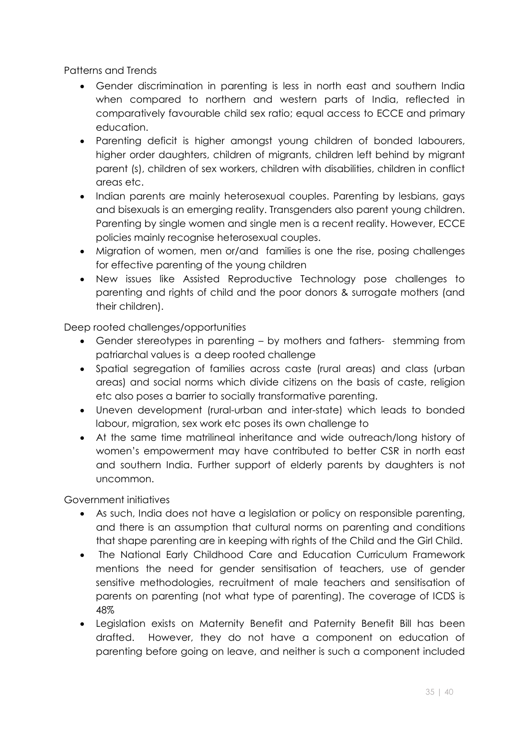Patterns and Trends

- x Gender discrimination in parenting is less in north east and southern India when compared to northern and western parts of India, reflected in comparatively favourable child sex ratio; equal access to ECCE and primary education.
- Parenting deficit is higher amongst young children of bonded labourers, higher order daughters, children of migrants, children left behind by migrant parent (s), children of sex workers, children with disabilities, children in conflict areas etc.
- Indian parents are mainly heterosexual couples. Parenting by lesbians, gays and bisexuals is an emerging reality. Transgenders also parent young children. Parenting by single women and single men is a recent reality. However, ECCE policies mainly recognise heterosexual couples.
- Migration of women, men or/and families is one the rise, posing challenges for effective parenting of the young children
- New issues like Assisted Reproductive Technology pose challenges to parenting and rights of child and the poor donors & surrogate mothers (and their children).

Deep rooted challenges/opportunities

- Gender stereotypes in parenting by mothers and fathers- stemming from patriarchal values is a deep rooted challenge
- Spatial segregation of families across caste (rural areas) and class (urban areas) and social norms which divide citizens on the basis of caste, religion etc also poses a barrier to socially transformative parenting.
- Uneven development (rural-urban and inter-state) which leads to bonded labour, migration, sex work etc poses its own challenge to
- At the same time matrilineal inheritance and wide outreach/long history of women's empowerment may have contributed to better CSR in north east and southern India. Further support of elderly parents by daughters is not uncommon.

Government initiatives

- As such, India does not have a legislation or policy on responsible parenting, and there is an assumption that cultural norms on parenting and conditions that shape parenting are in keeping with rights of the Child and the Girl Child.
- The National Early Childhood Care and Education Curriculum Framework mentions the need for gender sensitisation of teachers, use of gender sensitive methodologies, recruitment of male teachers and sensitisation of parents on parenting (not what type of parenting). The coverage of ICDS is 48%
- Legislation exists on Maternity Benefit and Paternity Benefit Bill has been drafted. However, they do not have a component on education of parenting before going on leave, and neither is such a component included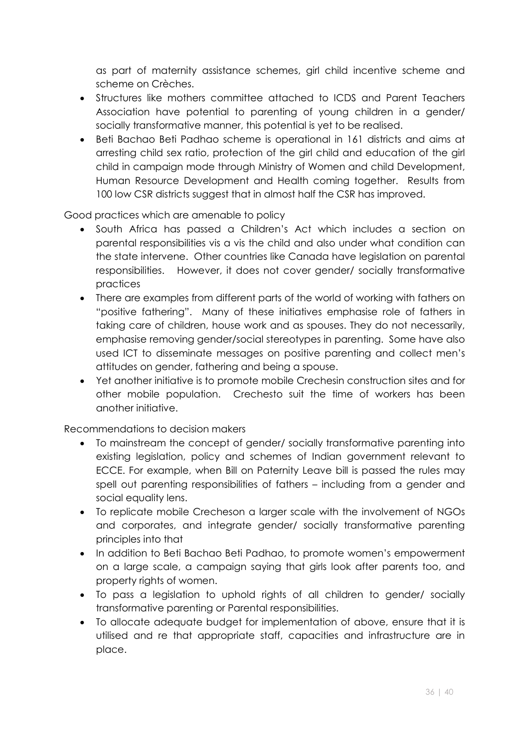as part of maternity assistance schemes, girl child incentive scheme and scheme on Crèches.

- Structures like mothers committee attached to ICDS and Parent Teachers Association have potential to parenting of young children in a gender/ socially transformative manner, this potential is yet to be realised.
- x Beti Bachao Beti Padhao scheme is operational in 161 districts and aims at arresting child sex ratio, protection of the girl child and education of the girl child in campaign mode through Ministry of Women and child Development, Human Resource Development and Health coming together. Results from 100 low CSR districts suggest that in almost half the CSR has improved.

Good practices which are amenable to policy

- South Africa has passed a Children's Act which includes a section on parental responsibilities vis a vis the child and also under what condition can the state intervene. Other countries like Canada have legislation on parental responsibilities. However, it does not cover gender/ socially transformative practices
- There are examples from different parts of the world of working with fathers on "positive fathering". Many of these initiatives emphasise role of fathers in taking care of children, house work and as spouses. They do not necessarily, emphasise removing gender/social stereotypes in parenting. Some have also used ICT to disseminate messages on positive parenting and collect men's attitudes on gender, fathering and being a spouse.
- Yet another initiative is to promote mobile Crechesin construction sites and for other mobile population. Crechesto suit the time of workers has been another initiative.

Recommendations to decision makers

- To mainstream the concept of gender/ socially transformative parenting into existing legislation, policy and schemes of Indian government relevant to ECCE. For example, when Bill on Paternity Leave bill is passed the rules may spell out parenting responsibilities of fathers – including from a gender and social equality lens.
- To replicate mobile Crecheson a larger scale with the involvement of NGOs and corporates, and integrate gender/ socially transformative parenting principles into that
- In addition to Beti Bachao Beti Padhao, to promote women's empowerment on a large scale, a campaign saying that girls look after parents too, and property rights of women.
- To pass a legislation to uphold rights of all children to gender/ socially transformative parenting or Parental responsibilities.
- To allocate adequate budget for implementation of above, ensure that it is utilised and re that appropriate staff, capacities and infrastructure are in place.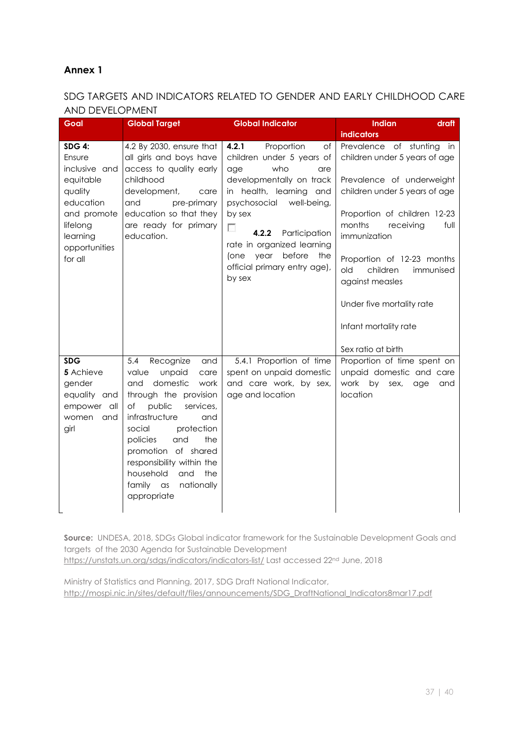#### **Annex 1**

#### SDG TARGETS AND INDICATORS RELATED TO GENDER AND EARLY CHILDHOOD CARE AND DEVELOPMENT

| Goal                                                                                                                                             | <b>Global Target</b>                                                                                                                                                                                                                                                                                                                               | <b>Global Indicator</b>                                                                                                                                                                                                                                                                                             | <b>Indian</b><br>draft                                                                                                                                                                                                                                                                                                                            |
|--------------------------------------------------------------------------------------------------------------------------------------------------|----------------------------------------------------------------------------------------------------------------------------------------------------------------------------------------------------------------------------------------------------------------------------------------------------------------------------------------------------|---------------------------------------------------------------------------------------------------------------------------------------------------------------------------------------------------------------------------------------------------------------------------------------------------------------------|---------------------------------------------------------------------------------------------------------------------------------------------------------------------------------------------------------------------------------------------------------------------------------------------------------------------------------------------------|
|                                                                                                                                                  |                                                                                                                                                                                                                                                                                                                                                    |                                                                                                                                                                                                                                                                                                                     | <b>indicators</b>                                                                                                                                                                                                                                                                                                                                 |
| <b>SDG 4:</b><br>Ensure<br>inclusive and<br>equitable<br>quality<br>education<br>and promote<br>lifelong<br>learning<br>opportunities<br>for all | 4.2 By 2030, ensure that<br>all girls and boys have<br>access to quality early<br>childhood<br>development,<br>care<br>and<br>pre-primary<br>education so that they<br>are ready for primary<br>education.                                                                                                                                         | 4.2.1<br>Proportion<br>of<br>children under 5 years of<br>who<br>age<br>are<br>developmentally on track<br>in health, learning and<br>psychosocial<br>well-being,<br>by sex<br>г<br>4.2.2<br>Participation<br>rate in organized learning<br>before<br>year<br>the<br>(one<br>official primary entry age),<br>by sex | Prevalence of stunting<br>in<br>children under 5 years of age<br>Prevalence of underweight<br>children under 5 years of age<br>Proportion of children 12-23<br>months<br>receiving<br>full<br>immunization<br>Proportion of 12-23 months<br>children<br>old<br>immunised<br>against measles<br>Under five mortality rate<br>Infant mortality rate |
|                                                                                                                                                  |                                                                                                                                                                                                                                                                                                                                                    |                                                                                                                                                                                                                                                                                                                     | Sex ratio at birth                                                                                                                                                                                                                                                                                                                                |
| <b>SDG</b><br>5 Achieve<br>gender<br>equality and<br>empower all<br>women<br>and<br>girl                                                         | 5.4<br>Recognize<br>and<br>value<br>unpaid<br>care<br>domestic<br>and<br>work<br>through the provision<br>public<br>of<br>services,<br>infrastructure<br>and<br>social<br>protection<br>policies<br>and<br>the<br>promotion of shared<br>responsibility within the<br>household<br>and<br>the<br>family<br>nationally<br>$\alpha$ s<br>appropriate | 5.4.1 Proportion of time<br>spent on unpaid domestic<br>and care work, by sex,<br>age and location                                                                                                                                                                                                                  | Proportion of time spent on<br>unpaid domestic and care<br>work<br>by<br>sex,<br>age<br>and<br>location                                                                                                                                                                                                                                           |

**Source:** UNDESA, 2018, SDGs Global indicator framework for the Sustainable Development Goals and targets of the 2030 Agenda for Sustainable Development https://unstats.un.org/sdgs/indicators/indicators-list/ Last accessed 22<sup>nd</sup> June, 2018

Ministry of Statistics and Planning, 2017, SDG Draft National Indicator, http://mospi.nic.in/sites/default/files/announcements/SDG\_DraftNational\_Indicators8mar17.pdf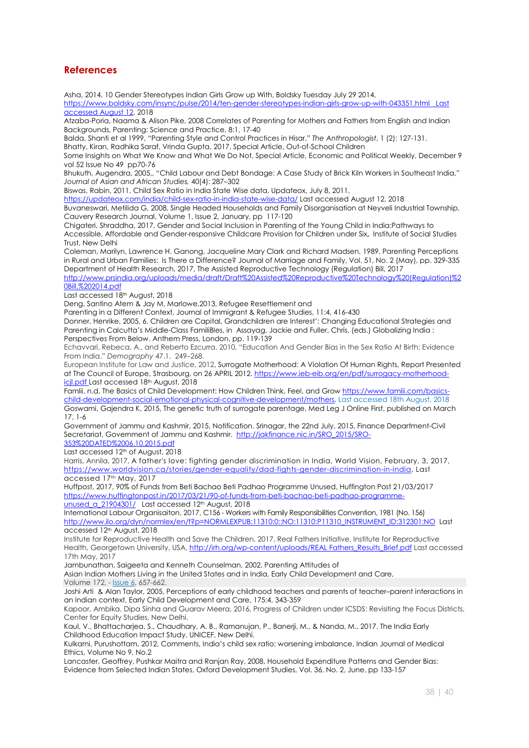#### **References**

Asha, 2014, 10 Gender Stereotypes Indian Girls Grow up With, Boldsky Tuesday July 29 2014,

https://www.boldsky.com/insync/pulse/2014/ten-gender-stereotypes-indian-girls-grow-up-with-043351.html Last accessed August 12, 2018

Atzaba-Poria, Naama & Alison Pike, 2008 Correlates of Parenting for Mothers and Fathers from English and Indian Backgrounds, Parenting: Science and Practice, 8:1, 17-40

Balda, Shanti et al 1999, "Parenting Style and Control Practices in Hisar," *The Anthropologist*, 1 (2): 127-131.

Bhatty, Kiran, Radhika Saraf, Vrinda Gupta, 2017, Special Article, Out-of-School Children

Some Insights on What We Know and What We Do Not, Special Article, Economic and Political Weekly, December 9 vol 52 Issue No 49 pp70-76

Bhukuth, Augendra, 2005,, "Child Labour and Debt Bondage: A Case Study of Brick Kiln Workers in Southeast India," *Journal of Asian and African Studies,* 40(4): 287–302

Biswas, Rabin, 2011, Child Sex Ratio in India State Wise data, Updateox, July 8, 2011,

https://updateox.com/india/child-sex-ratio-in-india-state-wise-data/ Last accessed August 12, 2018 Buvaneswari, Metilida G, 2008, Single Headed Households and Family Disorganisation at Neyveli Industrial Township, Cauvery Research Journal, Volume 1, Issue 2, January, pp 117-120

Chigateri, Shraddha, 2017, Gender and Social Inclusion in Parenting of the Young Child in India:Pathways to Accessible, Affordable and Gender-responsive Childcare Provision for Children under Six**,** Institute of Social Studies Trust, New Delhi

Coleman, Marilyn, Lawrence H. Ganong, Jacqueline Mary Clark and Richard Madsen, 1989, Parenting Perceptions in Rural and Urban Families: Is There a Difference? Journal of Marriage and Family, Vol. 51, No. 2 (May), pp. 329-335 Department of Health Research, 2017, The Assisted Reproductive Technology (Regulation) Bill, 2017

http://www.prsindia.org/uploads/media/draft/Draft%20Assisted%20Reproductive%20Technology%20(Regulation)%2 0Bill,%202014.pdf

Last accessed 18th August, 2018

Deng, Santino Atem & Jay M. Marlowe,2013, Refugee Resettlement and

Parenting in a Different Context, Journal of Immigrant & Refugee Studies, 11:4, 416-430

Donner, Henrike, 2005, 6. Children are Capital, Grandchildren are Interest': Changing Educational Strategies and Parenting in Calcutta's Middle-Class FamiliBIes, in Assayag, Jackie and Fuller, Chris, (eds.) Globalizing India : Perspectives From Below. Anthem Press, London, pp. 119-139

Echavvari, Rebeca, A., and Reberto Ezcurra. 2010, "Education And Gender Bias in the Sex Ratio At Birth: Evidence From India." *Demography* 47.1. 249–268.

European Institute for Law and Justice, 2012, Surrogate Motherhood: A Violation Of Human Rights, Report Presented at The Council of Europe, Strasbourg, on 26 APRIL 2012. https://www.ieb-eib.org/en/pdf/surrogacy-motherhoodicjl.pdf Last accessed 18<sup>th</sup> August, 2018

Famlii, n.d, The Basics of Child Development: How Children Think, Feel, and Grow https://www.famlii.com/basicschild-development-social-emotional-physical-cognitive-development/mothers, Last accessed 18th August, 2018 Goswami, Gajendra K, 2015, The genetic truth of surrogate parentage, Med Leg J Online First, published on March 17, 1-6

Government of Jammu and Kashmir, 2015, Notification. Srinagar, the 22nd July, 2015, Finance Department-Civil Secretariat, Government of Jammu and Kashmir. http://jakfinance.nic.in/SRO\_2015/SRO-353%20DATED%2006.10.2015.pdf

Last accessed 12<sup>th</sup> of August, 2018

Harris, Annila, 2017, A father's love: fighting gender discrimination in India, World Vision, February, 3, 2017, https://www.worldvision.ca/stories/gender-equality/dad-fights-gender-discrimination-in-india, Last accessed 17th May, 2017

Huffpost, 2017, 90% of Funds from Beti Bachao Beti Padhao Programme Unused, Huffington Post 21/03/2017 https://www.huffingtonpost.in/2017/03/21/90-of-funds-from-beti-bachao-beti-padhao-programme-

unused\_a\_21904301/ Last accessed 12<sup>th</sup> August, 2018

International Labour Organisaiton, 2017, C156 - Workers with Family Responsibilities Convention, 1981 (No. 156) http://www.ilo.org/dyn/normlex/en/f?p=NORMLEXPUB:11310:0::NO:11310:P11310\_INSTRUMENT\_ID:312301:NO Last accessed 12th August, 2018

Institute for Reproductive Health and Save the Children, 2017, Real Fathers Initiative, Institute for Reproductive Health, Georgetown University, USA, http://irh.org/wp-content/uploads/REAL Fathers\_Results\_Brief.pdf Last accessed 17th May, 2017

Jambunathan, Saigeeta and Kenneth Counselman, 2002, Parenting Attitudes of

Asian Indian Mothers Living in the United States and in India, Early Child Development and Care, Volume 172, - Issue 6, 657-662.

Joshi Arti & Alan Taylor, 2005, Perceptions of early childhood teachers and parents of teacher–parent interactions in an Indian context, Early Child Development and Care, 175:4, 343-359

Kapoor, Ambika, Dipa Sinha and Guarav Meera, 2016, Progress of Children under ICSDS: Revisiting the Focus Districts, Center for Equity Studies, New Delhi.

Kaul, V., Bhattacharjea, S., Chaudhary, A. B., Ramanujan, P., Banerji, M., & Nanda, M., 2017. The India Early Childhood Education Impact Study, UNICEF, New Delhi.

Kulkarni, Purushottam, 2012, Comments, India's child sex ratio: worsening imbalance, Indian Journal of Medical Ethics, Volume No 9, No.2

Lancaster, Geoffrey, Pushkar Maitra and Ranjan Ray, 2008, Household Expenditure Patterns and Gender Bias: Evidence from Selected Indian States, Oxford Development Studies, Vol. 36, No. 2, June, pp 133-157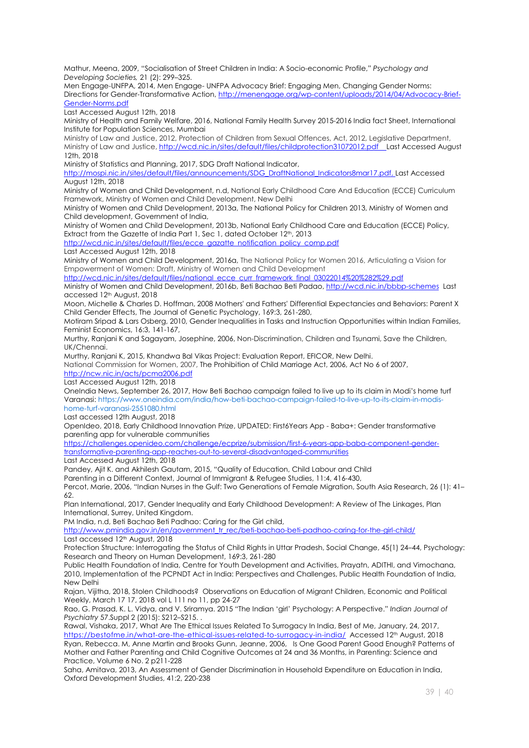Mathur, Meena, 2009, "Socialisation of Street Children in India: A Socio-economic Profile," *Psychology and Developing Societies,* 21 (2): 299–325.

Men Engage-UNFPA, 2014, Men Engage- UNFPA Advocacy Brief: Engaging Men, Changing Gender Norms: Directions for Gender-Transformative Action, http://menengage.org/wp-content/uploads/2014/04/Advocacy-Brief-Gender-Norms.pdf

Last Accessed August 12th, 2018

Ministry of Health and Family Welfare, 2016, National Family Health Survey 2015-2016 India fact Sheet, International Institute for Population Sciences, Mumbai

Ministry of Law and Justice, 2012, Protection of Children from Sexual Offences, Act, 2012, Legislative Department, Ministry of Law and Justice, http://wcd.nic.in/sites/default/files/childprotection31072012.pdf Last Accessed August 12th, 2018

Ministry of Statistics and Planning, 2017, SDG Draft National Indicator,

http://mospi.nic.in/sites/default/files/announcements/SDG\_DraftNational\_Indicators8mar17.pdf, Last Accessed August 12th, 2018

Ministry of Women and Child Development, n.d, National Early Childhood Care And Education (ECCE) Curriculum Framework, Ministry of Women and Child Development, New Delhi

Ministry of Women and Child Development, 2013a, The National Policy for Children 2013, Ministry of Women and Child development, Government of India,

Ministry of Women and Child Development, 2013b, National Early Childhood Care and Education (ECCE) Policy, Extract from the Gazette of India Part 1, Sec 1, dated October 12<sup>th</sup>, 2013

http://wcd.nic.in/sites/default/files/ecce\_gazatte\_notification\_policy\_comp.pdf

Last Accessed August 12th, 2018

Ministry of Women and Child Development, 2016a, The National Policy for Women 2016, Articulating a Vision for Empowerment of Women: Draft, Ministry of Women and Child Development

http://wcd.nic.in/sites/default/files/national\_ecce\_curr\_framework\_final\_03022014%20%282%29.pdf

Ministry of Women and Child Development, 2016b, Beti Bachao Beti Padao, http://wcd.nic.in/bbbp-schemes Last accessed 12th August, 2018

Moon, Michelle & Charles D. Hoffman, 2008 Mothers' and Fathers' Differential Expectancies and Behaviors: Parent X Child Gender Effects, The Journal of Genetic Psychology, 169:3, 261-280,

Motiram Sripad & Lars Osberg, 2010, Gender Inequalities in Tasks and Instruction Opportunities within Indian Families, Feminist Economics, 16:3, 141-167,

Murthy, Ranjani K and Sagayam, Josephine, 2006, Non-Discrimination, Children and Tsunami, Save the Children, UK/Chennai.

Murthy, Ranjani K, 2015, Khandwa Bal Vikas Project: Evaluation Report, EFICOR, New Delhi.

National Commission for Women, 2007, The Prohibition of Child Marriage Act, 2006, Act No 6 of 2007,

http://ncw.nic.in/acts/pcma2006.pdf

Last Accessed August 12th, 2018

OneIndia News, September 26, 2017, How Beti Bachao campaign failed to live up to its claim in Modi's home turf Varanasi: https://www.oneindia.com/india/how-beti-bachao-campaign-failed-to-live-up-to-its-claim-in-modishome-turf-varanasi-2551080.html

Last accessed 12th August, 2018

OpenIdeo, 2018, Early Childhood Innovation Prize, UPDATED: First6Years App - Baba+: Gender transformative parenting app for vulnerable communities

https://challenges.openideo.com/challenge/ecprize/submission/first-6-years-app-baba-component-gendertransformative-parenting-app-reaches-out-to-several-disadvantaged-communities

Last Accessed August 12th, 2018

Pandey, Ajit K. and Akhilesh Gautam, 2015, "Quality of Education, Child Labour and Child

Parenting in a Different Context, Journal of Immigrant & Refugee Studies, 11:4, 416-430,

Percot, Marie, 2006, "Indian Nurses in the Gulf: Two Generations of Female Migration, South Asia Research, 26 (1): 41– 62.

Plan International, 2017, Gender Inequality and Early Childhood Development: A Review of The Linkages, Plan International, Surrey, United Kingdom.

PM India, n.d, Beti Bachao Beti Padhao: Caring for the Girl child,

http://www.pmindia.gov.in/en/government\_tr\_rec/beti-bachao-beti-padhao-caring-for-the-girl-child/ Last accessed 12<sup>th</sup> August, 2018

Protection Structure: Interrogating the Status of Child Rights in Uttar Pradesh, Social Change, 45(1) 24–44, Psychology: Research and Theory on Human Development, 169:3, 261-280

Public Health Foundation of India, Centre for Youth Development and Activities, Prayatn, ADITHI, and Vimochana, 2010, Implementation of the PCPNDT Act in India: Perspectives and Challenges, Public Health Foundation of India, New Delhi

Rajan, Vijitha, 2018, Stolen Childhoods? Observations on Education of Migrant Children, Economic and Political Weekly, March 17 17, 2018 vol L 111 no 11, pp 24-27

Rao, G. Prasad, K. L. Vidya, and V. Sriramya. 2015 "The Indian 'girl' Psychology: A Perspective." *Indian Journal of Psychiatry* 57.Suppl 2 (2015): S212–S215. .

Rawal, Vishaka, 2017, What Are The Ethical Issues Related To Surrogacy In India, Best of Me, January, 24, 2017, https://bestofme.in/what-are-the-ethical-issues-related-to-surrogacy-in-india/ Accessed 12<sup>th</sup> August, 2018 Ryan, Rebecca. M, Anne Martin and Brooks Gunn, Jeanne, 2006, Is One Good Parent Good Enough? Patterns of Mother and Father Parenting and Child Cognitive Outcomes at 24 and 36 Months, in Parenting: Science and Practice, Volume 6 No. 2 p211-228

Saha, Amitava, 2013, An Assessment of Gender Discrimination in Household Expenditure on Education in India, Oxford Development Studies, 41:2, 220-238